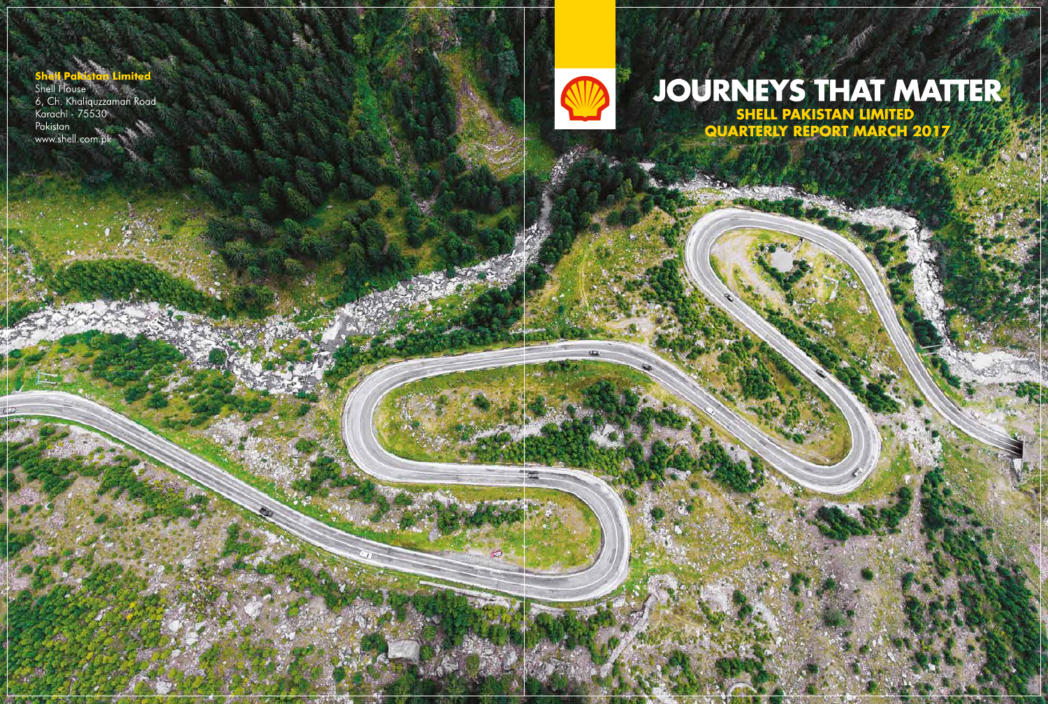#### **Shell Pal Limited**

Sher Perastan Limited<br>Shell House<br>6, Ch. Khaliquzzaman Road<br>Karachi - 75530 Pakistan<br>www.shell.com.pk



# **SHELL PAKISTAN LIMITED QUARTERLY REPORT MARCH 2017**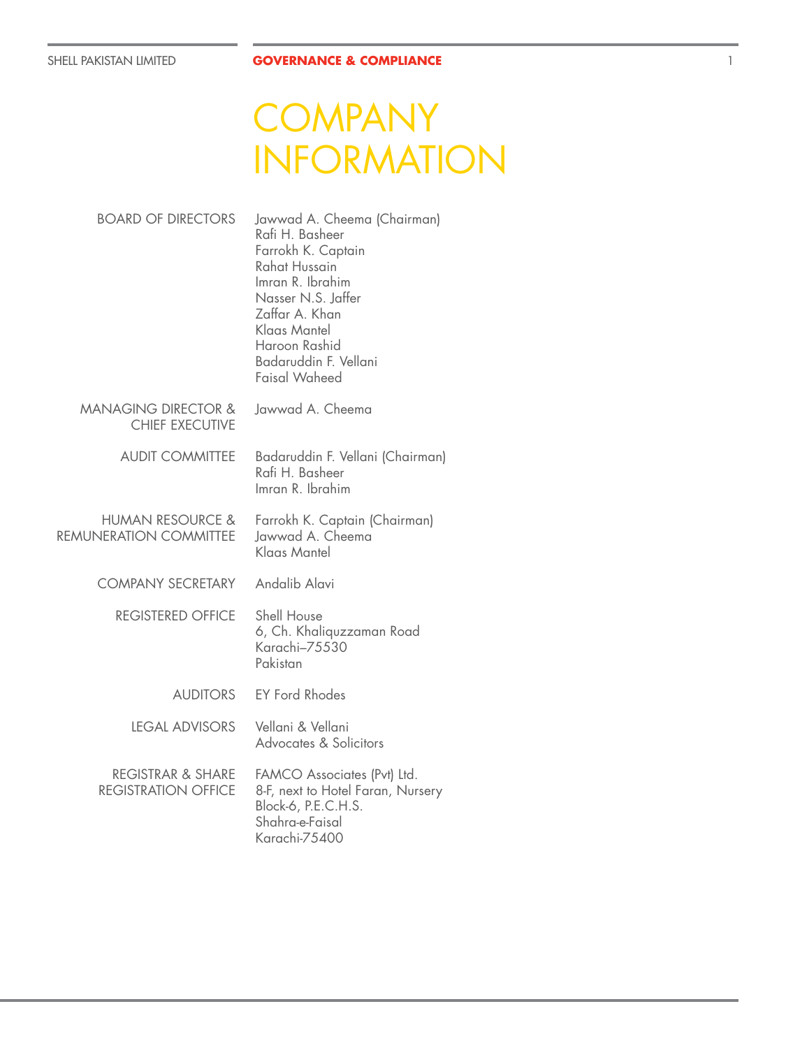# **COMPANY** INFORMATION

| <b>BOARD OF DIRECTORS</b>                                  | Jawwad A. Cheema (Chairman)<br>Rafi H. Basheer<br>Farrokh K. Captain<br>Rahat Hussain<br>Imran R. Ibrahim<br>Nasser N.S. Jaffer<br>Zaffar A. Khan<br>Klaas Mantel<br>Haroon Rashid<br>Badaruddin F. Vellani<br><b>Faisal Waheed</b> |
|------------------------------------------------------------|-------------------------------------------------------------------------------------------------------------------------------------------------------------------------------------------------------------------------------------|
| <b>MANAGING DIRECTOR &amp;</b><br><b>CHIEF EXECUTIVE</b>   | Jawwad A. Cheema                                                                                                                                                                                                                    |
| <b>AUDIT COMMITTEE</b>                                     | Badaruddin F. Vellani (Chairman)<br>Rafi H. Basheer<br>Imran R. Ibrahim                                                                                                                                                             |
| HUMAN RESOURCE &<br>REMUNERATION COMMITTEE                 | Farrokh K. Captain (Chairman)<br>Jawwad A. Cheema<br>Klaas Mantel                                                                                                                                                                   |
| <b>COMPANY SECRETARY</b>                                   | Andalib Alavi                                                                                                                                                                                                                       |
| <b>REGISTERED OFFICE</b>                                   | Shell House<br>6, Ch. Khaliquzzaman Road<br>Karachi–75530<br>Pakistan                                                                                                                                                               |
| <b>AUDITORS</b>                                            | <b>EY Ford Rhodes</b>                                                                                                                                                                                                               |
| <b>LEGAL ADVISORS</b>                                      | Vellani & Vellani<br>Advocates & Solicitors                                                                                                                                                                                         |
| <b>REGISTRAR &amp; SHARE</b><br><b>REGISTRATION OFFICE</b> | FAMCO Associates (Pvt) Ltd.<br>8-F, next to Hotel Faran, Nursery<br>Block-6, P.E.C.H.S.<br>Shahra-e-Faisal<br>Karachi-75400                                                                                                         |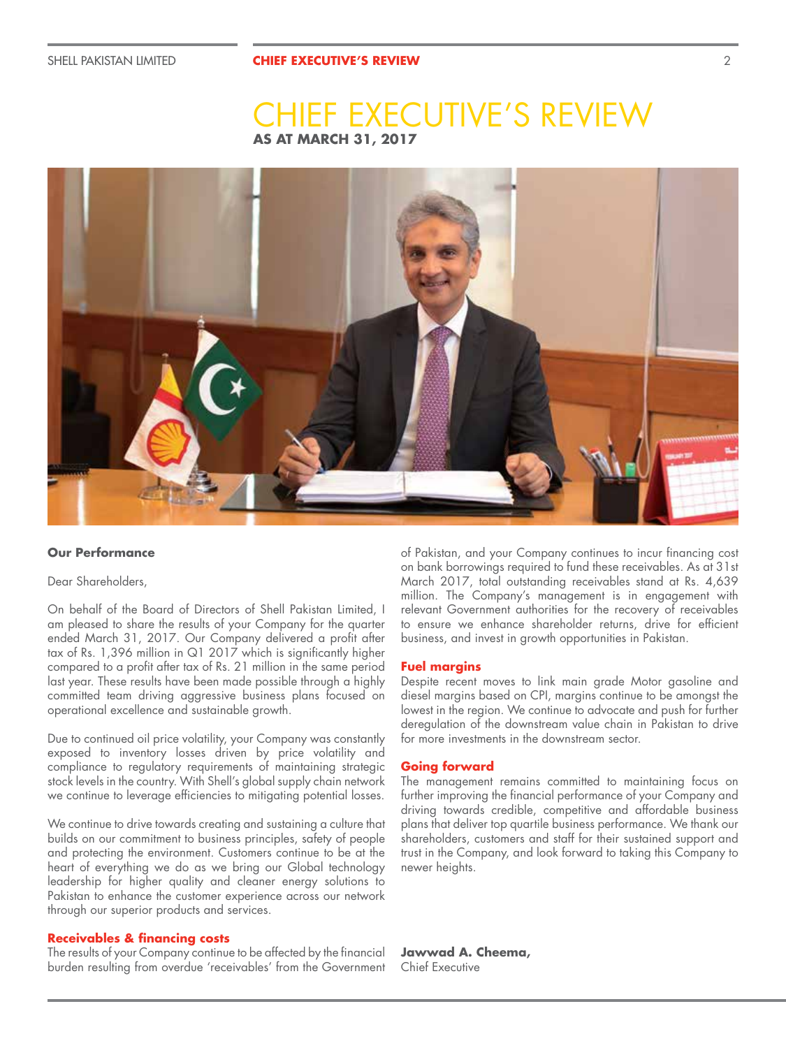## **AS AT MARCH 31, 2017 EXECUTIVE'S REVIEW**



#### **Our Performance**

### Dear Shareholders,

On behalf of the Board of Directors of Shell Pakistan Limited, I am pleased to share the results of your Company for the quarter ended March 31, 2017. Our Company delivered a profit after tax of Rs. 1,396 million in Q1 2017 which is significantly higher compared to a profit after tax of Rs. 21 million in the same period last year. These results have been made possible through a highly committed team driving aggressive business plans focused on operational excellence and sustainable growth.

Due to continued oil price volatility, your Company was constantly exposed to inventory losses driven by price volatility and compliance to regulatory requirements of maintaining strategic stock levels in the country. With Shell's global supply chain network we continue to leverage efficiencies to mitigating potential losses.

We continue to drive towards creating and sustaining a culture that builds on our commitment to business principles, safety of people and protecting the environment. Customers continue to be at the heart of everything we do as we bring our Global technology leadership for higher quality and cleaner energy solutions to Pakistan to enhance the customer experience across our network through our superior products and services.

#### **Receivables & financing costs**

The results of your Company continue to be affected by the financial burden resulting from overdue 'receivables' from the Government of Pakistan, and your Company continues to incur financing cost on bank borrowings required to fund these receivables. As at 31st March 2017, total outstanding receivables stand at Rs. 4,639 million. The Company's management is in engagement with relevant Government authorities for the recovery of receivables to ensure we enhance shareholder returns, drive for efficient business, and invest in growth opportunities in Pakistan.

#### **Fuel margins**

Despite recent moves to link main grade Motor gasoline and diesel margins based on CPI, margins continue to be amongst the lowest in the region. We continue to advocate and push for further deregulation of the downstream value chain in Pakistan to drive for more investments in the downstream sector.

#### **Going forward**

The management remains committed to maintaining focus on further improving the financial performance of your Company and driving towards credible, competitive and affordable business plans that deliver top quartile business performance. We thank our shareholders, customers and staff for their sustained support and trust in the Company, and look forward to taking this Company to newer heights.

**Jawwad A. Cheema,** Chief Executive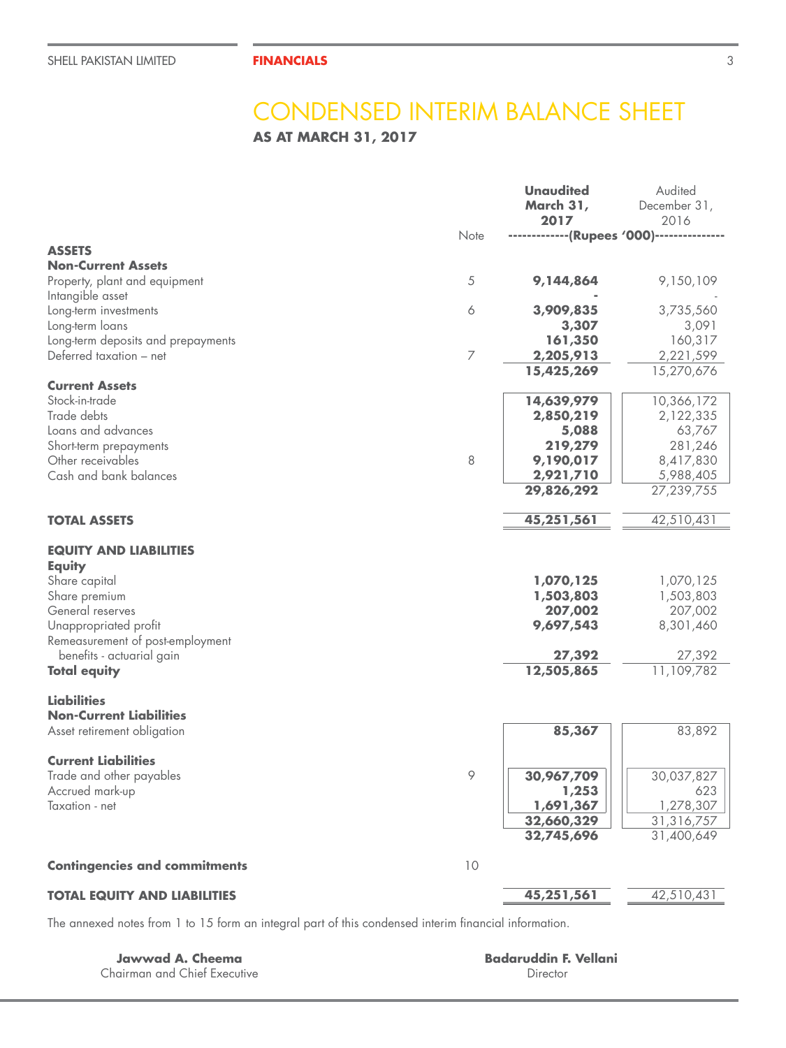## CONDENSED INTERIM BALANCE SHEET

**AS AT MARCH 31, 2017**

|                                                                                                                                                                                                                       |      | <b>Unaudited</b><br>March 31,<br>2017                                               | Audited<br>December 31,<br>2016                                                      |
|-----------------------------------------------------------------------------------------------------------------------------------------------------------------------------------------------------------------------|------|-------------------------------------------------------------------------------------|--------------------------------------------------------------------------------------|
|                                                                                                                                                                                                                       | Note | -------------(Rupees '000)---------------                                           |                                                                                      |
| <b>ASSETS</b>                                                                                                                                                                                                         |      |                                                                                     |                                                                                      |
| <b>Non-Current Assets</b><br>Property, plant and equipment<br>Intangible asset                                                                                                                                        | 5    | 9,144,864                                                                           | 9,150,109                                                                            |
| Long-term investments<br>Long-term loans                                                                                                                                                                              | 6    | 3,909,835<br>3,307                                                                  | 3,735,560<br>3,091                                                                   |
| Long-term deposits and prepayments<br>Deferred taxation - net                                                                                                                                                         | 7    | 161,350<br>2,205,913                                                                | 160,317<br>2,221,599                                                                 |
|                                                                                                                                                                                                                       |      | 15,425,269                                                                          | 15,270,676                                                                           |
| <b>Current Assets</b><br>Stock-in-trade<br>Trade debts<br>Loans and advances<br>Short-term prepayments<br>Other receivables<br>Cash and bank balances                                                                 | 8    | 14,639,979<br>2,850,219<br>5,088<br>219,279<br>9,190,017<br>2,921,710<br>29,826,292 | 10,366,172<br>2,122,335<br>63,767<br>281,246<br>8,417,830<br>5,988,405<br>27,239,755 |
|                                                                                                                                                                                                                       |      |                                                                                     |                                                                                      |
| <b>TOTAL ASSETS</b>                                                                                                                                                                                                   |      | 45,251,561                                                                          | 42,510,431                                                                           |
| <b>EQUITY AND LIABILITIES</b><br><b>Equity</b><br>Share capital<br>Share premium<br>General reserves<br>Unappropriated profit<br>Remeasurement of post-employment<br>benefits - actuarial gain<br><b>Total equity</b> |      | 1,070,125<br>1,503,803<br>207,002<br>9,697,543<br>27,392<br>12,505,865              | 1,070,125<br>1,503,803<br>207,002<br>8,301,460<br>27,392<br>11,109,782               |
| <b>Liabilities</b><br><b>Non-Current Liabilities</b><br>Asset retirement obligation                                                                                                                                   |      | 85,367                                                                              | 83,892                                                                               |
| <b>Current Liabilities</b><br>Trade and other payables<br>Accrued mark-up<br>Taxation - net                                                                                                                           | 9    | 30,967,709<br>1,253<br>1,691,367<br>32,660,329<br>32,745,696                        | 30,037,827<br>623<br>1,278,307<br>31,316,757<br>31,400,649                           |
| <b>Contingencies and commitments</b>                                                                                                                                                                                  | 10   |                                                                                     |                                                                                      |
| <b>TOTAL EQUITY AND LIABILITIES</b>                                                                                                                                                                                   |      | 45,251,561                                                                          | 42,510,431                                                                           |

The annexed notes from 1 to 15 form an integral part of this condensed interim financial information.

**Jawwad A. Cheema** Chairman and Chief Executive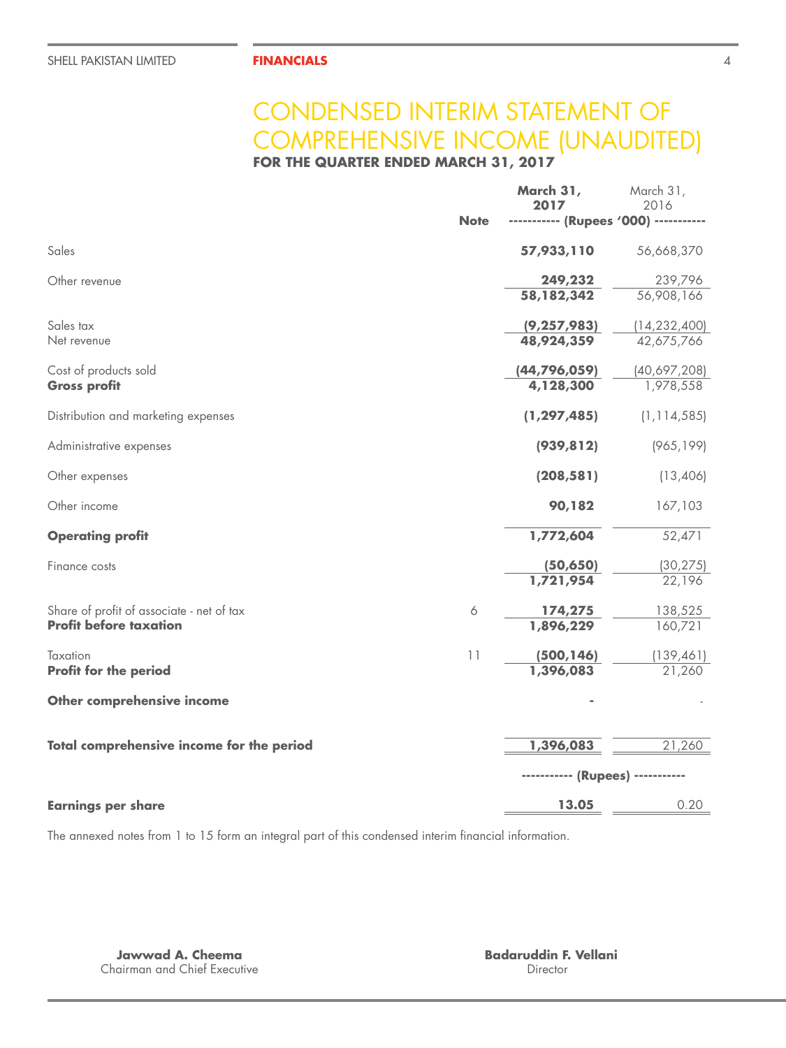## CONDENSED INTERIM STATEMENT OF COMPREHENSIVE INCOME (UNAUDITED)

**FOR THE QUARTER ENDED MARCH 31, 2017**

|                                           |             | March 31,<br>2017                     | March 31,<br>2016       |
|-------------------------------------------|-------------|---------------------------------------|-------------------------|
|                                           | <b>Note</b> | ----------- (Rupees '000) ----------- |                         |
| Sales                                     |             | 57,933,110                            | 56,668,370              |
| Other revenue                             |             | 249,232                               | 239,796                 |
|                                           |             | 58,182,342                            | $\overline{56,908,166}$ |
| Sales tax                                 |             | (9, 257, 983)                         | (14, 232, 400)          |
| Net revenue                               |             | 48,924,359                            | 42,675,766              |
| Cost of products sold                     |             | (44, 796, 059)                        | (40,697,208)            |
| <b>Gross profit</b>                       |             | 4,128,300                             | 1,978,558               |
| Distribution and marketing expenses       |             | (1, 297, 485)                         | (1, 114, 585)           |
| Administrative expenses                   |             | (939, 812)                            | (965, 199)              |
| Other expenses                            |             | (208, 581)                            | (13,406)                |
| Other income                              |             | 90,182                                | 167,103                 |
| <b>Operating profit</b>                   |             | 1,772,604                             | 52,471                  |
| Finance costs                             |             | (50, 650)                             | (30, 275)               |
|                                           |             | 1,721,954                             | 22,196                  |
| Share of profit of associate - net of tax | 6           | 174,275                               | 138,525                 |
| <b>Profit before taxation</b>             |             | 1,896,229                             | 160,721                 |
| Taxation                                  | 11          | (500, 146)                            | (139, 461)              |
| Profit for the period                     |             | 1,396,083                             | 21,260                  |
| Other comprehensive income                |             |                                       |                         |
| Total comprehensive income for the period |             | 1,396,083                             | 21,260                  |
|                                           |             | ----------- (Rupees) -----------      |                         |
| <b>Earnings per share</b>                 |             | 13.05                                 | 0.20                    |

The annexed notes from 1 to 15 form an integral part of this condensed interim financial information.

**Jawwad A. Cheema** Chairman and Chief Executive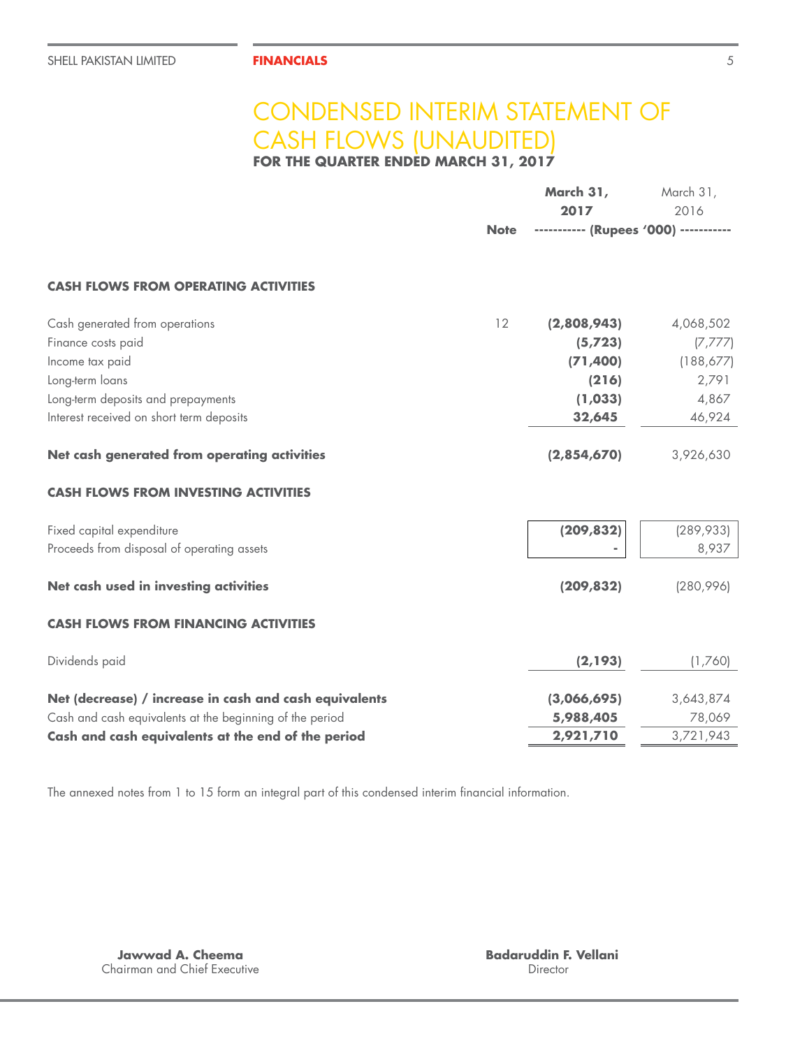## CONDENSED INTERIM STATEMENT OF CASH FLOWS (UNAUDITED)

**FOR THE QUARTER ENDED MARCH 31, 2017**

|                                                          |             | March 31,<br>2017                     | March 31,<br>2016 |
|----------------------------------------------------------|-------------|---------------------------------------|-------------------|
|                                                          | <b>Note</b> | ----------- (Rupees '000) ----------- |                   |
| <b>CASH FLOWS FROM OPERATING ACTIVITIES</b>              |             |                                       |                   |
| Cash generated from operations                           | 12          | (2,808,943)                           | 4,068,502         |
| Finance costs paid                                       |             | (5, 723)                              | (7, 777)          |
| Income tax paid                                          |             | (71, 400)                             | (188, 677)        |
| Long-term loans                                          |             | (216)                                 | 2,791             |
| Long-term deposits and prepayments                       |             | (1,033)                               | 4,867             |
| Interest received on short term deposits                 |             | 32,645                                | 46,924            |
| Net cash generated from operating activities             |             | (2,854,670)                           | 3,926,630         |
| <b>CASH FLOWS FROM INVESTING ACTIVITIES</b>              |             |                                       |                   |
| Fixed capital expenditure                                |             | (209, 832)                            | (289, 933)        |
| Proceeds from disposal of operating assets               |             |                                       | 8,937             |
| Net cash used in investing activities                    |             | (209, 832)                            | (280,996)         |
| <b>CASH FLOWS FROM FINANCING ACTIVITIES</b>              |             |                                       |                   |
| Dividends paid                                           |             | (2, 193)                              | (1,760)           |
| Net (decrease) / increase in cash and cash equivalents   |             | (3,066,695)                           | 3,643,874         |
| Cash and cash equivalents at the beginning of the period |             | 5,988,405                             | 78,069            |
| Cash and cash equivalents at the end of the period       |             | 2,921,710                             | 3,721,943         |
|                                                          |             |                                       |                   |

The annexed notes from 1 to 15 form an integral part of this condensed interim financial information.

**Jawwad A. Cheema** Chairman and Chief Executive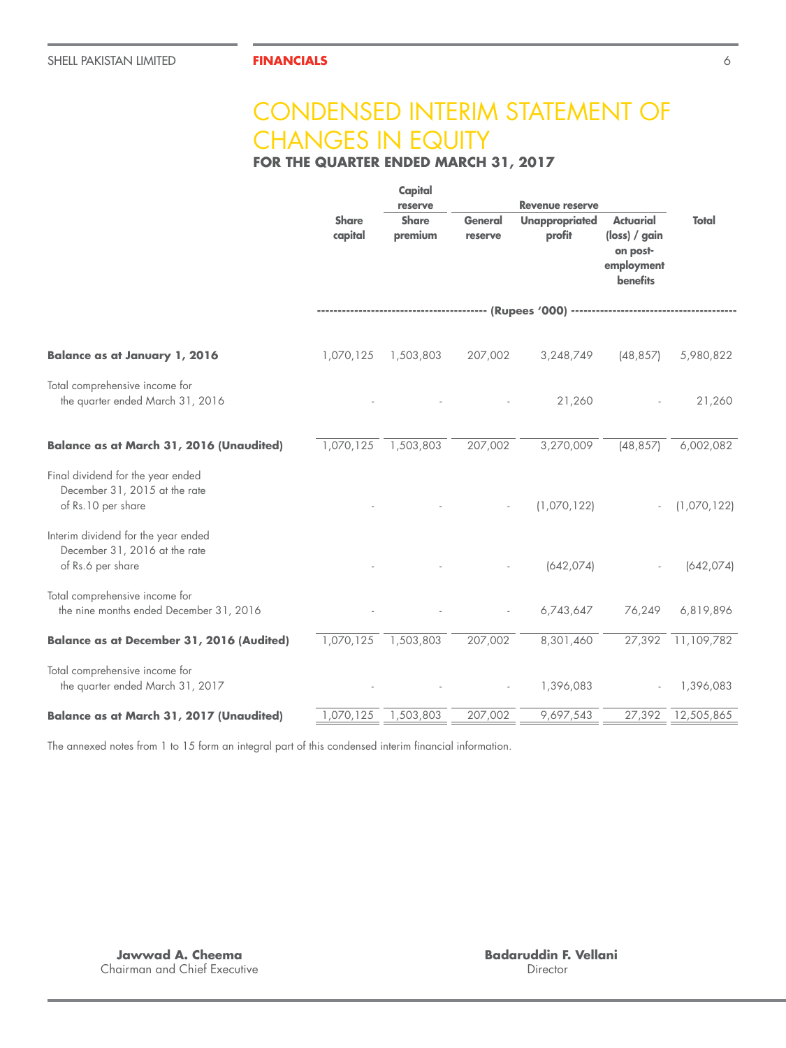## CONDENSED INTERIM STATEMENT OF CHANGES IN EQUITY

**FOR THE QUARTER ENDED MARCH 31, 2017**

|                                                                                           | <b>Share</b><br>capital | Capital<br>reserve<br><b>Share</b><br>premium | <b>General</b><br>reserve | <b>Revenue reserve</b><br><b>Unappropriated</b><br>profit          | <b>Actuarial</b><br>$(\mathsf{loss}) / \mathsf{gain}$<br>on post- | Total       |
|-------------------------------------------------------------------------------------------|-------------------------|-----------------------------------------------|---------------------------|--------------------------------------------------------------------|-------------------------------------------------------------------|-------------|
|                                                                                           |                         |                                               |                           |                                                                    | employment<br><b>benefits</b>                                     |             |
|                                                                                           |                         |                                               |                           | ------------------------- (Rupees '000) -------------------------- |                                                                   |             |
| <b>Balance as at January 1, 2016</b>                                                      | 1,070,125               | 1,503,803                                     | 207,002                   | 3,248,749                                                          | (48, 857)                                                         | 5,980,822   |
| Total comprehensive income for<br>the quarter ended March 31, 2016                        |                         |                                               |                           | 21,260                                                             |                                                                   | 21,260      |
| <b>Balance as at March 31, 2016 (Unaudited)</b>                                           | 1,070,125               | 1,503,803                                     | 207,002                   | 3,270,009                                                          | (48, 857)                                                         | 6,002,082   |
| Final dividend for the year ended<br>December 31, 2015 at the rate<br>of Rs.10 per share  |                         |                                               |                           | (1,070,122)                                                        |                                                                   | (1,070,122) |
| Interim dividend for the year ended<br>December 31, 2016 at the rate<br>of Rs.6 per share |                         |                                               |                           | (642, 074)                                                         |                                                                   | (642, 074)  |
| Total comprehensive income for<br>the nine months ended December 31, 2016                 |                         |                                               |                           | 6,743,647                                                          | 76,249                                                            | 6,819,896   |
| <b>Balance as at December 31, 2016 (Audited)</b>                                          | 1,070,125               | 1,503,803                                     | 207,002                   | 8,301,460                                                          | 27,392                                                            | 11,109,782  |
| Total comprehensive income for<br>the quarter ended March 31, 2017                        |                         |                                               |                           | 1,396,083                                                          |                                                                   | 1,396,083   |
| <b>Balance as at March 31, 2017 (Unaudited)</b>                                           | 1,070,125               | 1,503,803                                     | 207,002                   | 9,697,543                                                          | 27,392                                                            | 12,505,865  |

The annexed notes from 1 to 15 form an integral part of this condensed interim financial information.

**Jawwad A. Cheema** Chairman and Chief Executive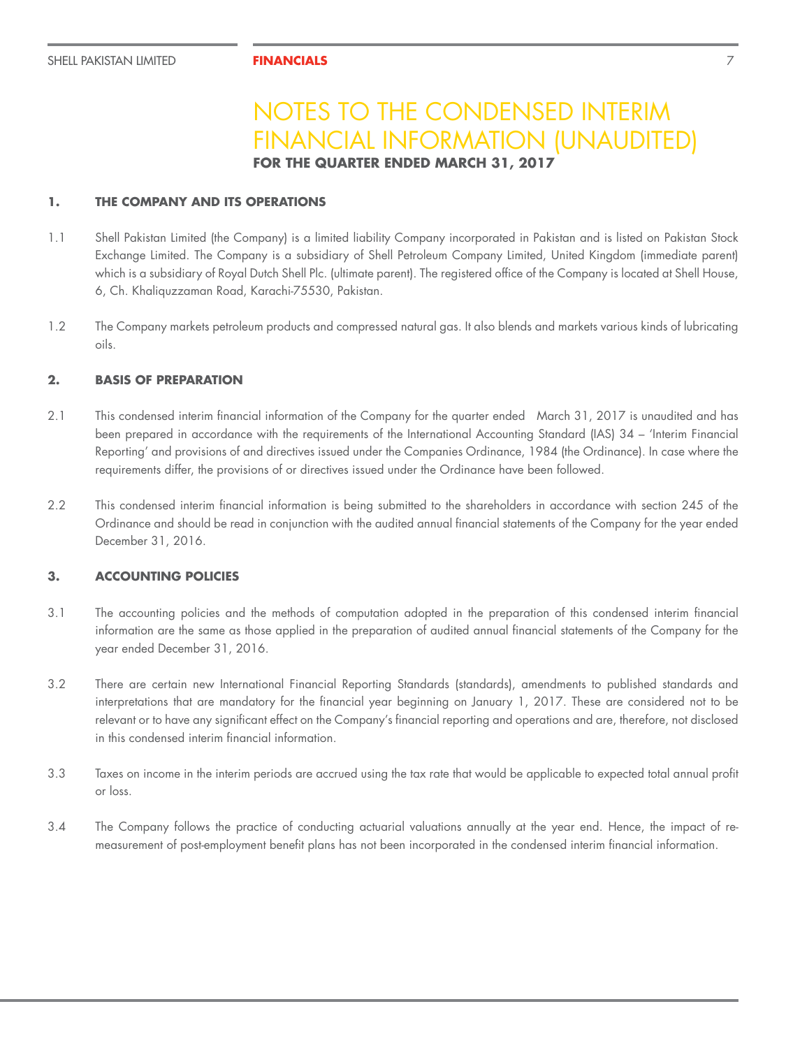### **1. THE COMPANY AND ITS OPERATIONS**

- 1.1 Shell Pakistan Limited (the Company) is a limited liability Company incorporated in Pakistan and is listed on Pakistan Stock Exchange Limited. The Company is a subsidiary of Shell Petroleum Company Limited, United Kingdom (immediate parent) which is a subsidiary of Royal Dutch Shell Plc. (ultimate parent). The registered office of the Company is located at Shell House, 6, Ch. Khaliquzzaman Road, Karachi-75530, Pakistan.
- 1.2 The Company markets petroleum products and compressed natural gas. It also blends and markets various kinds of lubricating oils.

## **2. BASIS OF PREPARATION**

- 2.1 This condensed interim financial information of the Company for the quarter ended March 31, 2017 is unaudited and has been prepared in accordance with the requirements of the International Accounting Standard (IAS) 34 – 'Interim Financial Reporting' and provisions of and directives issued under the Companies Ordinance, 1984 (the Ordinance). In case where the requirements differ, the provisions of or directives issued under the Ordinance have been followed.
- 2.2 This condensed interim financial information is being submitted to the shareholders in accordance with section 245 of the Ordinance and should be read in conjunction with the audited annual financial statements of the Company for the year ended December 31, 2016.

## **3. ACCOUNTING POLICIES**

- 3.1 The accounting policies and the methods of computation adopted in the preparation of this condensed interim financial information are the same as those applied in the preparation of audited annual financial statements of the Company for the year ended December 31, 2016.
- 3.2 There are certain new International Financial Reporting Standards (standards), amendments to published standards and interpretations that are mandatory for the financial year beginning on January 1, 2017. These are considered not to be relevant or to have any significant effect on the Company's financial reporting and operations and are, therefore, not disclosed in this condensed interim financial information.
- 3.3 Taxes on income in the interim periods are accrued using the tax rate that would be applicable to expected total annual profit or loss.
- 3.4 The Company follows the practice of conducting actuarial valuations annually at the year end. Hence, the impact of remeasurement of post-employment benefit plans has not been incorporated in the condensed interim financial information.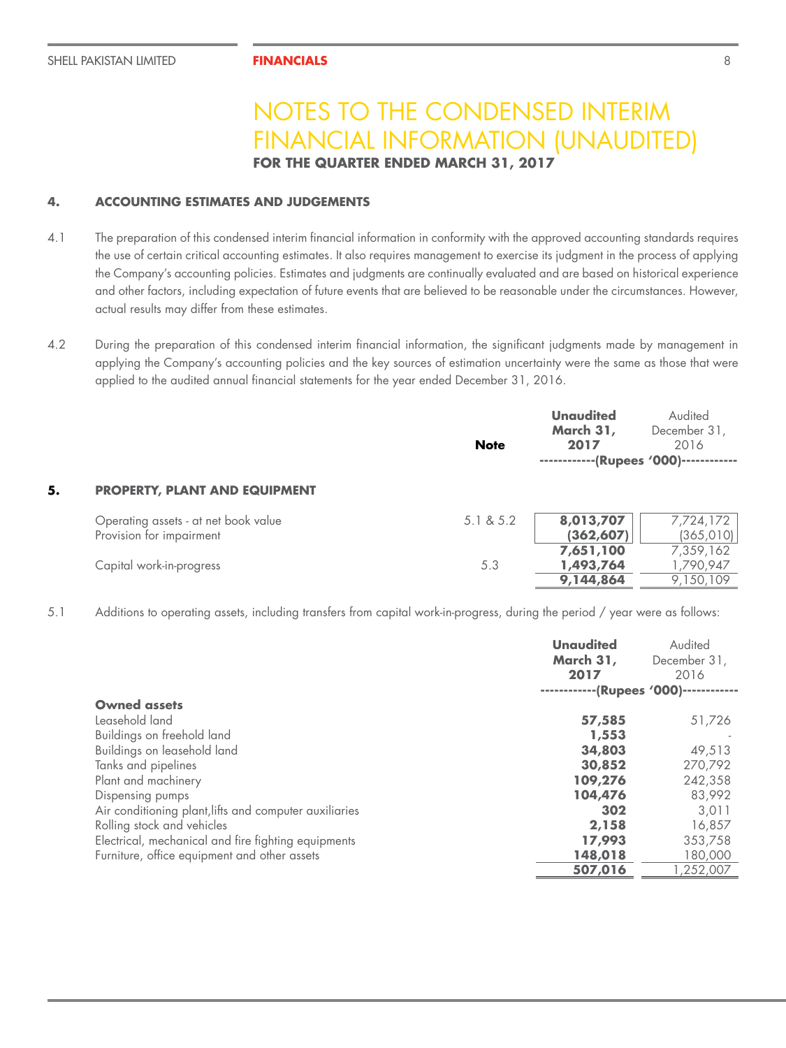### **4. ACCOUNTING ESTIMATES AND JUDGEMENTS**

- 4.1 The preparation of this condensed interim financial information in conformity with the approved accounting standards requires the use of certain critical accounting estimates. It also requires management to exercise its judgment in the process of applying the Company's accounting policies. Estimates and judgments are continually evaluated and are based on historical experience and other factors, including expectation of future events that are believed to be reasonable under the circumstances. However, actual results may differ from these estimates.
- 4.2 During the preparation of this condensed interim financial information, the significant judgments made by management in applying the Company's accounting policies and the key sources of estimation uncertainty were the same as those that were applied to the audited annual financial statements for the year ended December 31, 2016.

|    |                                                                  | <b>Note</b> | <b>Unaudited</b><br>March 31,<br>2017<br>------------(Rupees '000)------------ | Audited<br>December 31,<br>2016     |
|----|------------------------------------------------------------------|-------------|--------------------------------------------------------------------------------|-------------------------------------|
| 5. | <b>PROPERTY, PLANT AND EQUIPMENT</b>                             |             |                                                                                |                                     |
|    | Operating assets - at net book value<br>Provision for impairment | 5.1 & 8.5.2 | 8,013,707<br>(362, 607)                                                        | 7,724,172<br>(365, 010)             |
|    | Capital work-in-progress                                         | 5.3         | 7,651,100<br>1,493,764<br>9,144,864                                            | 7,359,162<br>1,790,947<br>9,150,109 |

5.1 Additions to operating assets, including transfers from capital work-in-progress, during the period / year were as follows:

|                                                        | <b>Unaudited</b><br>March 31,<br>2017<br>--------- | Audited<br>December 31,<br>2016<br>--(Rupees '000)--- |
|--------------------------------------------------------|----------------------------------------------------|-------------------------------------------------------|
| <b>Owned assets</b>                                    |                                                    |                                                       |
| Leasehold land                                         | 57,585                                             | 51,726                                                |
| Buildings on freehold land                             | 1,553                                              |                                                       |
| Buildings on leasehold land                            | 34,803                                             | 49,513                                                |
| Tanks and pipelines                                    | 30,852                                             | 270,792                                               |
| Plant and machinery                                    | 109,276                                            | 242,358                                               |
| Dispensing pumps                                       | 104,476                                            | 83,992                                                |
| Air conditioning plant, lifts and computer auxiliaries | 302                                                | 3.011                                                 |
| Rolling stock and vehicles                             | 2,158                                              | 16,857                                                |
| Electrical, mechanical and fire fighting equipments    | 17,993                                             | 353,758                                               |
| Furniture, office equipment and other assets           | 148,018                                            | 180,000                                               |
|                                                        | 507,016                                            | ,252,007                                              |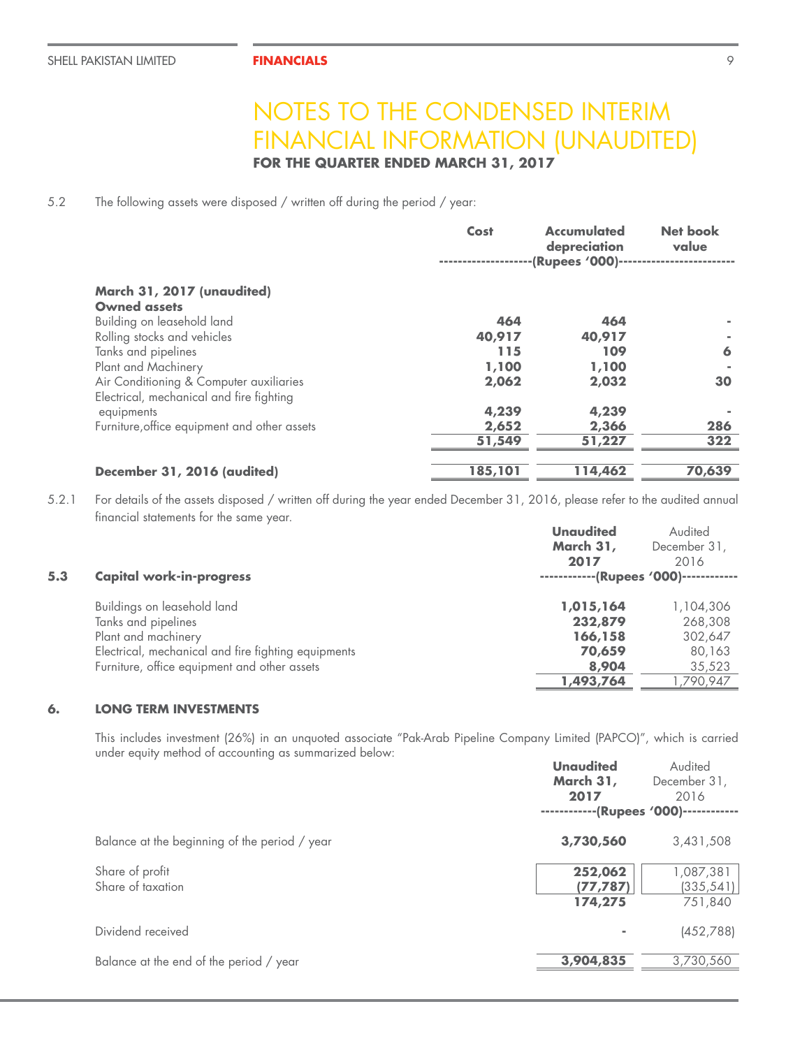**FOR THE QUARTER ENDED MARCH 31, 2017**

5.2 The following assets were disposed / written off during the period / year:

|                                              | Cost    | <b>Accumulated</b><br>depreciation<br>--(Rupees '000)- | Net book<br>value |
|----------------------------------------------|---------|--------------------------------------------------------|-------------------|
| March 31, 2017 (unaudited)                   |         |                                                        |                   |
| <b>Owned assets</b>                          |         |                                                        |                   |
| Building on leasehold land                   | 464     | 464                                                    |                   |
| Rolling stocks and vehicles                  | 40,917  | 40,917                                                 |                   |
| Tanks and pipelines                          | 115     | 109                                                    | 6                 |
| Plant and Machinery                          | 1,100   | 1,100                                                  |                   |
| Air Conditioning & Computer auxiliaries      | 2,062   | 2,032                                                  | 30                |
| Electrical, mechanical and fire fighting     |         |                                                        |                   |
| equipments                                   | 4,239   | 4,239                                                  |                   |
| Furniture, office equipment and other assets | 2,652   | 2,366                                                  | 286               |
|                                              | 51,549  | 51,227                                                 | 322               |
|                                              |         |                                                        |                   |
| December 31, 2016 (audited)                  | 185,101 | 114,462                                                | 70,639            |

5.2.1 For details of the assets disposed / written off during the year ended December 31, 2016, please refer to the audited annual financial statements for the same year.

|     |                                                     | Unaudited                             | Audited      |
|-----|-----------------------------------------------------|---------------------------------------|--------------|
|     |                                                     | March 31,                             | December 31, |
|     |                                                     | 2017                                  | 2016         |
| 5.3 | <b>Capital work-in-progress</b>                     | ------------(Rupees '000)------------ |              |
|     | Buildings on leasehold land                         | 1,015,164                             | 1,104,306    |
|     | Tanks and pipelines                                 | 232,879                               | 268,308      |
|     | Plant and machinery                                 | 166,158                               | 302,647      |
|     | Electrical, mechanical and fire fighting equipments | 70,659                                | 80,163       |
|     | Furniture, office equipment and other assets        | 8,904                                 | 35,523       |
|     |                                                     | 1,493,764                             | ,790,947     |
|     |                                                     |                                       |              |

### **6. LONG TERM INVESTMENTS**

This includes investment (26%) in an unquoted associate "Pak-Arab Pipeline Company Limited (PAPCO)", which is carried under equity method of accounting as summarized below:

|                                               | Unaudited<br>March 31,<br>2017<br>--(Rupees '000)--- | Audited<br>December 31,<br>2016    |
|-----------------------------------------------|------------------------------------------------------|------------------------------------|
| Balance at the beginning of the period / year | 3,730,560                                            | 3,431,508                          |
| Share of profit<br>Share of taxation          | 252,062<br>(77, 787)<br>174,275                      | 1,087,381<br>(335, 541)<br>751,840 |
| Dividend received                             |                                                      | (452,788)                          |
| Balance at the end of the period / year       | 3,904,835                                            | 3,730,560                          |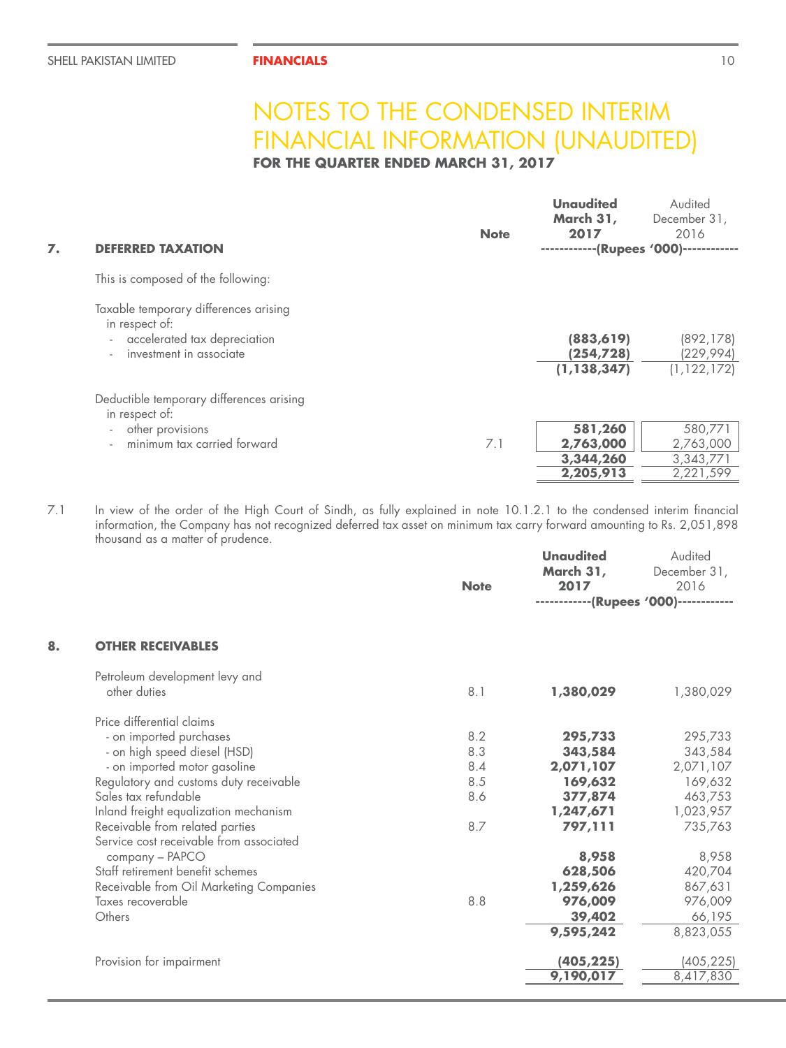**FOR THE QUARTER ENDED MARCH 31, 2017**

| 7. | <b>DEFERRED TAXATION</b>                                                                                                | <b>Note</b> | <b>Unaudited</b><br>March 31,<br>2017<br>------------(Rupees '000)--- | Audited<br>December 31,<br>2016                |
|----|-------------------------------------------------------------------------------------------------------------------------|-------------|-----------------------------------------------------------------------|------------------------------------------------|
|    | This is composed of the following:                                                                                      |             |                                                                       |                                                |
|    | Taxable temporary differences arising<br>in respect of:<br>- accelerated tax depreciation<br>investment in associate    |             | (883, 619)<br>(254, 728)<br>(1, 138, 347)                             | (892, 178)<br>(229, 994)<br>(1, 122, 172)      |
|    | Deductible temporary differences arising<br>in respect of:<br>other provisions<br>$\sim$<br>minimum tax carried forward | 7.1         | 581,260<br>2,763,000<br>3,344,260<br>2,205,913                        | 580,771<br>2,763,000<br>3,343,771<br>2,221,599 |

7.1 In view of the order of the High Court of Sindh, as fully explained in note 10.1.2.1 to the condensed interim financial information, the Company has not recognized deferred tax asset on minimum tax carry forward amounting to Rs. 2,051,898 thousand as a matter of prudence.

|    |                                         | <b>Note</b> | <b>Unaudited</b><br>March 31,<br>2017 | Audited<br>December 31,<br>2016       |
|----|-----------------------------------------|-------------|---------------------------------------|---------------------------------------|
|    |                                         |             |                                       | ------------(Rupees '000)------------ |
| 8. | <b>OTHER RECEIVABLES</b>                |             |                                       |                                       |
|    | Petroleum development levy and          |             |                                       |                                       |
|    | other duties                            | 8.1         | 1,380,029                             | 1,380,029                             |
|    | Price differential claims               |             |                                       |                                       |
|    | - on imported purchases                 | 8.2         | 295,733                               | 295,733                               |
|    | - on high speed diesel (HSD)            | 8.3         | 343,584                               | 343,584                               |
|    | - on imported motor gasoline            | 8.4         | 2,071,107                             | 2,071,107                             |
|    | Regulatory and customs duty receivable  | 8.5         | 169,632                               | 169,632                               |
|    | Sales tax refundable                    | 8.6         | 377,874                               | 463,753                               |
|    | Inland freight equalization mechanism   |             | 1,247,671                             | 1,023,957                             |
|    | Receivable from related parties         | 8.7         | 797,111                               | 735,763                               |
|    | Service cost receivable from associated |             |                                       |                                       |
|    | company - PAPCO                         |             | 8,958                                 | 8,958                                 |
|    | Staff retirement benefit schemes        |             | 628,506                               | 420,704                               |
|    | Receivable from Oil Marketing Companies |             | 1,259,626                             | 867,631                               |
|    | Taxes recoverable                       | 8.8         | 976,009                               | 976,009                               |
|    | Others                                  |             | 39,402                                | 66,195                                |
|    |                                         |             | 9,595,242                             | 8,823,055                             |
|    | Provision for impairment                |             | (405, 225)                            | (405, 225)                            |
|    |                                         |             | 9,190,017                             | 8,417,830                             |
|    |                                         |             |                                       |                                       |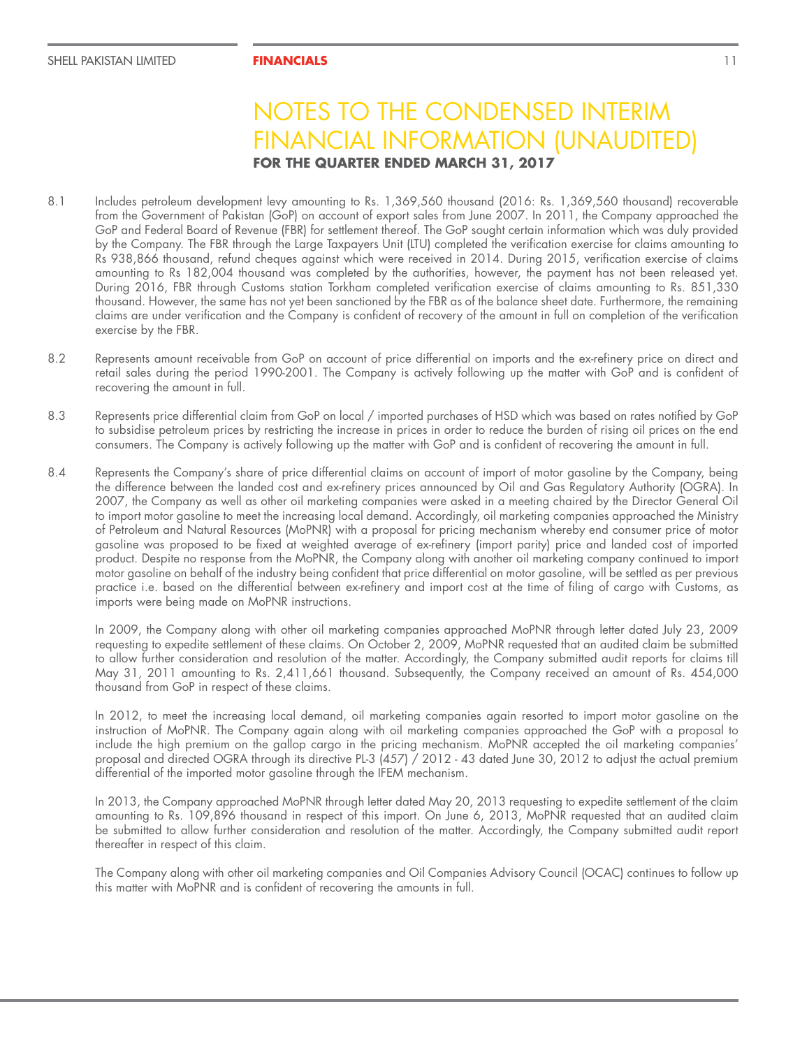- 8.1 Includes petroleum development levy amounting to Rs. 1,369,560 thousand (2016: Rs. 1,369,560 thousand) recoverable from the Government of Pakistan (GoP) on account of export sales from June 2007. In 2011, the Company approached the GoP and Federal Board of Revenue (FBR) for settlement thereof. The GoP sought certain information which was duly provided by the Company. The FBR through the Large Taxpayers Unit (LTU) completed the verification exercise for claims amounting to Rs 938,866 thousand, refund cheques against which were received in 2014. During 2015, verification exercise of claims amounting to Rs 182,004 thousand was completed by the authorities, however, the payment has not been released yet. During 2016, FBR through Customs station Torkham completed verification exercise of claims amounting to Rs. 851,330 thousand. However, the same has not yet been sanctioned by the FBR as of the balance sheet date. Furthermore, the remaining claims are under verification and the Company is confident of recovery of the amount in full on completion of the verification exercise by the FBR.
- 8.2 Represents amount receivable from GoP on account of price differential on imports and the ex-refinery price on direct and retail sales during the period 1990-2001. The Company is actively following up the matter with GoP and is confident of recovering the amount in full.
- 8.3 Represents price differential claim from GoP on local / imported purchases of HSD which was based on rates notified by GoP to subsidise petroleum prices by restricting the increase in prices in order to reduce the burden of rising oil prices on the end consumers. The Company is actively following up the matter with GoP and is confident of recovering the amount in full.
- 8.4 Represents the Company's share of price differential claims on account of import of motor gasoline by the Company, being the difference between the landed cost and ex-refinery prices announced by Oil and Gas Regulatory Authority (OGRA). In 2007, the Company as well as other oil marketing companies were asked in a meeting chaired by the Director General Oil to import motor gasoline to meet the increasing local demand. Accordingly, oil marketing companies approached the Ministry of Petroleum and Natural Resources (MoPNR) with a proposal for pricing mechanism whereby end consumer price of motor gasoline was proposed to be fixed at weighted average of ex-refinery (import parity) price and landed cost of imported product. Despite no response from the MoPNR, the Company along with another oil marketing company continued to import motor gasoline on behalf of the industry being confident that price differential on motor gasoline, will be settled as per previous practice i.e. based on the differential between ex-refinery and import cost at the time of filing of cargo with Customs, as imports were being made on MoPNR instructions.

In 2009, the Company along with other oil marketing companies approached MoPNR through letter dated July 23, 2009 requesting to expedite settlement of these claims. On October 2, 2009, MoPNR requested that an audited claim be submitted to allow further consideration and resolution of the matter. Accordingly, the Company submitted audit reports for claims till May 31, 2011 amounting to Rs. 2,411,661 thousand. Subsequently, the Company received an amount of Rs. 454,000 thousand from GoP in respect of these claims.

In 2012, to meet the increasing local demand, oil marketing companies again resorted to import motor gasoline on the instruction of MoPNR. The Company again along with oil marketing companies approached the GoP with a proposal to include the high premium on the gallop cargo in the pricing mechanism. MoPNR accepted the oil marketing companies' proposal and directed OGRA through its directive PL-3 (457) / 2012 - 43 dated June 30, 2012 to adjust the actual premium differential of the imported motor gasoline through the IFEM mechanism.

In 2013, the Company approached MoPNR through letter dated May 20, 2013 requesting to expedite settlement of the claim amounting to Rs. 109,896 thousand in respect of this import. On June 6, 2013, MoPNR requested that an audited claim be submitted to allow further consideration and resolution of the matter. Accordingly, the Company submitted audit report thereafter in respect of this claim.

The Company along with other oil marketing companies and Oil Companies Advisory Council (OCAC) continues to follow up this matter with MoPNR and is confident of recovering the amounts in full.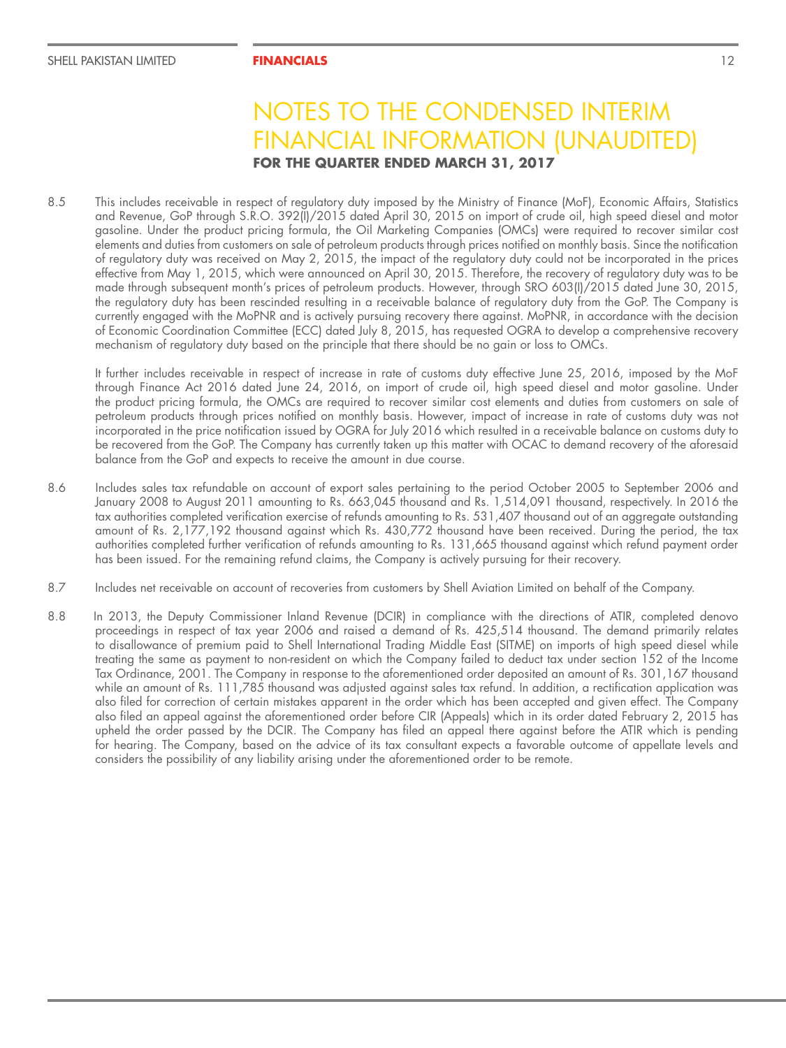8.5 This includes receivable in respect of regulatory duty imposed by the Ministry of Finance (MoF), Economic Affairs, Statistics and Revenue, GoP through S.R.O. 392(I)/2015 dated April 30, 2015 on import of crude oil, high speed diesel and motor gasoline. Under the product pricing formula, the Oil Marketing Companies (OMCs) were required to recover similar cost elements and duties from customers on sale of petroleum products through prices notified on monthly basis. Since the notification of regulatory duty was received on May 2, 2015, the impact of the regulatory duty could not be incorporated in the prices effective from May 1, 2015, which were announced on April 30, 2015. Therefore, the recovery of regulatory duty was to be made through subsequent month's prices of petroleum products. However, through SRO 603(I)/2015 dated June 30, 2015, the regulatory duty has been rescinded resulting in a receivable balance of regulatory duty from the GoP. The Company is currently engaged with the MoPNR and is actively pursuing recovery there against. MoPNR, in accordance with the decision of Economic Coordination Committee (ECC) dated July 8, 2015, has requested OGRA to develop a comprehensive recovery mechanism of regulatory duty based on the principle that there should be no gain or loss to OMCs.

It further includes receivable in respect of increase in rate of customs duty effective June 25, 2016, imposed by the MoF through Finance Act 2016 dated June 24, 2016, on import of crude oil, high speed diesel and motor gasoline. Under the product pricing formula, the OMCs are required to recover similar cost elements and duties from customers on sale of petroleum products through prices notified on monthly basis. However, impact of increase in rate of customs duty was not incorporated in the price notification issued by OGRA for July 2016 which resulted in a receivable balance on customs duty to be recovered from the GoP. The Company has currently taken up this matter with OCAC to demand recovery of the aforesaid balance from the GoP and expects to receive the amount in due course.

- 8.6 Includes sales tax refundable on account of export sales pertaining to the period October 2005 to September 2006 and January 2008 to August 2011 amounting to Rs. 663,045 thousand and Rs. 1,514,091 thousand, respectively. In 2016 the tax authorities completed verification exercise of refunds amounting to Rs. 531,407 thousand out of an aggregate outstanding amount of Rs. 2,177,192 thousand against which Rs. 430,772 thousand have been received. During the period, the tax authorities completed further verification of refunds amounting to Rs. 131,665 thousand against which refund payment order has been issued. For the remaining refund claims, the Company is actively pursuing for their recovery.
- 8.7 Includes net receivable on account of recoveries from customers by Shell Aviation Limited on behalf of the Company.
- 8.8 In 2013, the Deputy Commissioner Inland Revenue (DCIR) in compliance with the directions of ATIR, completed denovo proceedings in respect of tax year 2006 and raised a demand of Rs. 425,514 thousand. The demand primarily relates to disallowance of premium paid to Shell International Trading Middle East (SITME) on imports of high speed diesel while treating the same as payment to non-resident on which the Company failed to deduct tax under section 152 of the Income Tax Ordinance, 2001. The Company in response to the aforementioned order deposited an amount of Rs. 301,167 thousand while an amount of Rs. 111,785 thousand was adjusted against sales tax refund. In addition, a rectification application was also filed for correction of certain mistakes apparent in the order which has been accepted and given effect. The Company also filed an appeal against the aforementioned order before CIR (Appeals) which in its order dated February 2, 2015 has upheld the order passed by the DCIR. The Company has filed an appeal there against before the ATIR which is pending for hearing. The Company, based on the advice of its tax consultant expects a favorable outcome of appellate levels and considers the possibility of any liability arising under the aforementioned order to be remote.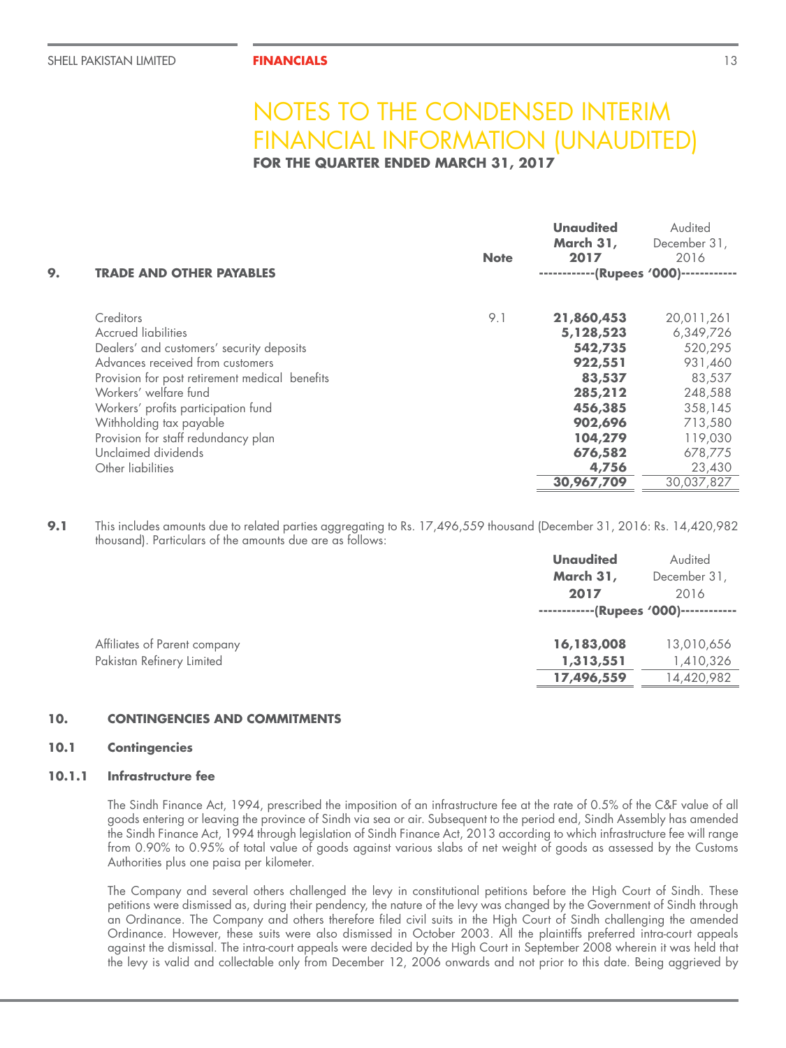**FOR THE QUARTER ENDED MARCH 31, 2017**

| 9. | <b>TRADE AND OTHER PAYABLES</b>                | <b>Note</b> | <b>Unaudited</b><br>March 31,<br>2017<br>------------(Rupees '000)------------ | Audited<br>December 31,<br>2016 |
|----|------------------------------------------------|-------------|--------------------------------------------------------------------------------|---------------------------------|
|    | Creditors                                      | 9.1         | 21,860,453                                                                     | 20,011,261                      |
|    | <b>Accrued liabilities</b>                     |             | 5,128,523                                                                      | 6,349,726                       |
|    | Dealers' and customers' security deposits      |             | 542,735                                                                        | 520,295                         |
|    | Advances received from customers               |             | 922,551                                                                        | 931,460                         |
|    | Provision for post retirement medical benefits |             | 83,537                                                                         | 83,537                          |
|    | Workers' welfare fund                          |             | 285,212                                                                        | 248,588                         |
|    | Workers' profits participation fund            |             | 456,385                                                                        | 358,145                         |
|    | Withholding tax payable                        |             | 902,696                                                                        | 713,580                         |
|    | Provision for staff redundancy plan            |             | 104,279                                                                        | 119,030                         |
|    | Unclaimed dividends                            |             | 676,582                                                                        | 678,775                         |
|    | Other liabilities                              |             | 4,756                                                                          | 23,430                          |
|    |                                                |             | 30,967,709                                                                     | 30,037,827                      |

**9.1** This includes amounts due to related parties aggregating to Rs. 17,496,559 thousand (December 31, 2016: Rs. 14,420,982 thousand). Particulars of the amounts due are as follows:

|                              | <b>Unaudited</b>                      | Audited      |  |
|------------------------------|---------------------------------------|--------------|--|
|                              | March 31,                             | December 31, |  |
|                              | 2017                                  | 2016         |  |
|                              | ------------(Rupees '000)------------ |              |  |
| Affiliates of Parent company | 16,183,008                            | 13,010,656   |  |
| Pakistan Refinery Limited    | 1,313,551                             | 1,410,326    |  |
|                              | 17,496,559                            | 14,420,982   |  |

### **10. CONTINGENCIES AND COMMITMENTS**

#### **10.1 Contingencies**

#### **10.1.1 Infrastructure fee**

The Sindh Finance Act, 1994, prescribed the imposition of an infrastructure fee at the rate of 0.5% of the C&F value of all goods entering or leaving the province of Sindh via sea or air. Subsequent to the period end, Sindh Assembly has amended the Sindh Finance Act, 1994 through legislation of Sindh Finance Act, 2013 according to which infrastructure fee will range from 0.90% to 0.95% of total value of goods against various slabs of net weight of goods as assessed by the Customs Authorities plus one paisa per kilometer.

The Company and several others challenged the levy in constitutional petitions before the High Court of Sindh. These petitions were dismissed as, during their pendency, the nature of the levy was changed by the Government of Sindh through an Ordinance. The Company and others therefore filed civil suits in the High Court of Sindh challenging the amended Ordinance. However, these suits were also dismissed in October 2003. All the plaintiffs preferred intra-court appeals against the dismissal. The intra-court appeals were decided by the High Court in September 2008 wherein it was held that the levy is valid and collectable only from December 12, 2006 onwards and not prior to this date. Being aggrieved by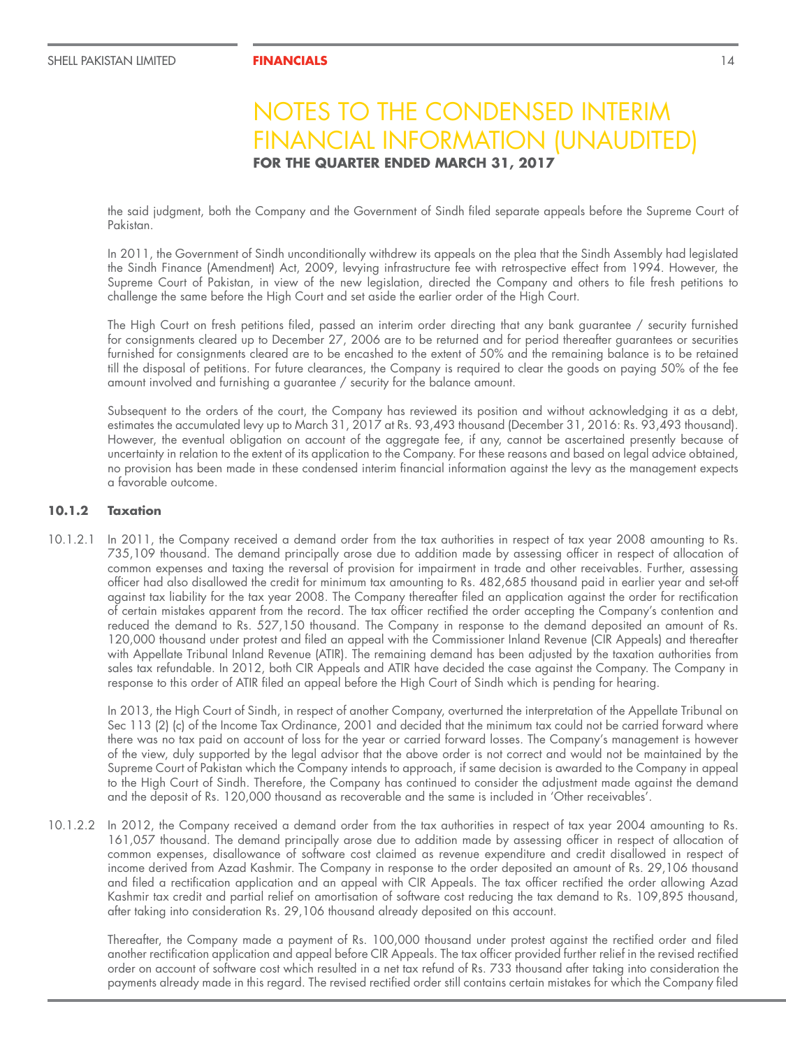the said judgment, both the Company and the Government of Sindh filed separate appeals before the Supreme Court of Pakistan.

In 2011, the Government of Sindh unconditionally withdrew its appeals on the plea that the Sindh Assembly had legislated the Sindh Finance (Amendment) Act, 2009, levying infrastructure fee with retrospective effect from 1994. However, the Supreme Court of Pakistan, in view of the new legislation, directed the Company and others to file fresh petitions to challenge the same before the High Court and set aside the earlier order of the High Court.

The High Court on fresh petitions filed, passed an interim order directing that any bank guarantee / security furnished for consignments cleared up to December 27, 2006 are to be returned and for period thereafter guarantees or securities furnished for consignments cleared are to be encashed to the extent of 50% and the remaining balance is to be retained till the disposal of petitions. For future clearances, the Company is required to clear the goods on paying 50% of the fee amount involved and furnishing a guarantee / security for the balance amount.

Subsequent to the orders of the court, the Company has reviewed its position and without acknowledging it as a debt, estimates the accumulated levy up to March 31, 2017 at Rs. 93,493 thousand (December 31, 2016: Rs. 93,493 thousand). However, the eventual obligation on account of the aggregate fee, if any, cannot be ascertained presently because of uncertainty in relation to the extent of its application to the Company. For these reasons and based on legal advice obtained, no provision has been made in these condensed interim financial information against the levy as the management expects a favorable outcome.

### **10.1.2 Taxation**

10.1.2.1 In 2011, the Company received a demand order from the tax authorities in respect of tax year 2008 amounting to Rs. 735,109 thousand. The demand principally arose due to addition made by assessing officer in respect of allocation of common expenses and taxing the reversal of provision for impairment in trade and other receivables. Further, assessing officer had also disallowed the credit for minimum tax amounting to Rs. 482,685 thousand paid in earlier year and set-off against tax liability for the tax year 2008. The Company thereafter filed an application against the order for rectification of certain mistakes apparent from the record. The tax officer rectified the order accepting the Company's contention and reduced the demand to Rs. 527,150 thousand. The Company in response to the demand deposited an amount of Rs. 120,000 thousand under protest and filed an appeal with the Commissioner Inland Revenue (CIR Appeals) and thereafter with Appellate Tribunal Inland Revenue (ATIR). The remaining demand has been adjusted by the taxation authorities from sales tax refundable. In 2012, both CIR Appeals and ATIR have decided the case against the Company. The Company in response to this order of ATIR filed an appeal before the High Court of Sindh which is pending for hearing.

In 2013, the High Court of Sindh, in respect of another Company, overturned the interpretation of the Appellate Tribunal on Sec 113 (2) (c) of the Income Tax Ordinance, 2001 and decided that the minimum tax could not be carried forward where there was no tax paid on account of loss for the year or carried forward losses. The Company's management is however of the view, duly supported by the legal advisor that the above order is not correct and would not be maintained by the Supreme Court of Pakistan which the Company intends to approach, if same decision is awarded to the Company in appeal to the High Court of Sindh. Therefore, the Company has continued to consider the adjustment made against the demand and the deposit of Rs. 120,000 thousand as recoverable and the same is included in 'Other receivables'.

10.1.2.2 In 2012, the Company received a demand order from the tax authorities in respect of tax year 2004 amounting to Rs. 161,057 thousand. The demand principally arose due to addition made by assessing officer in respect of allocation of common expenses, disallowance of software cost claimed as revenue expenditure and credit disallowed in respect of income derived from Azad Kashmir. The Company in response to the order deposited an amount of Rs. 29,106 thousand and filed a rectification application and an appeal with CIR Appeals. The tax officer rectified the order allowing Azad Kashmir tax credit and partial relief on amortisation of software cost reducing the tax demand to Rs. 109,895 thousand, after taking into consideration Rs. 29,106 thousand already deposited on this account.

Thereafter, the Company made a payment of Rs. 100,000 thousand under protest against the rectified order and filed another rectification application and appeal before CIR Appeals. The tax officer provided further relief in the revised rectified order on account of software cost which resulted in a net tax refund of Rs. 733 thousand after taking into consideration the payments already made in this regard. The revised rectified order still contains certain mistakes for which the Company filed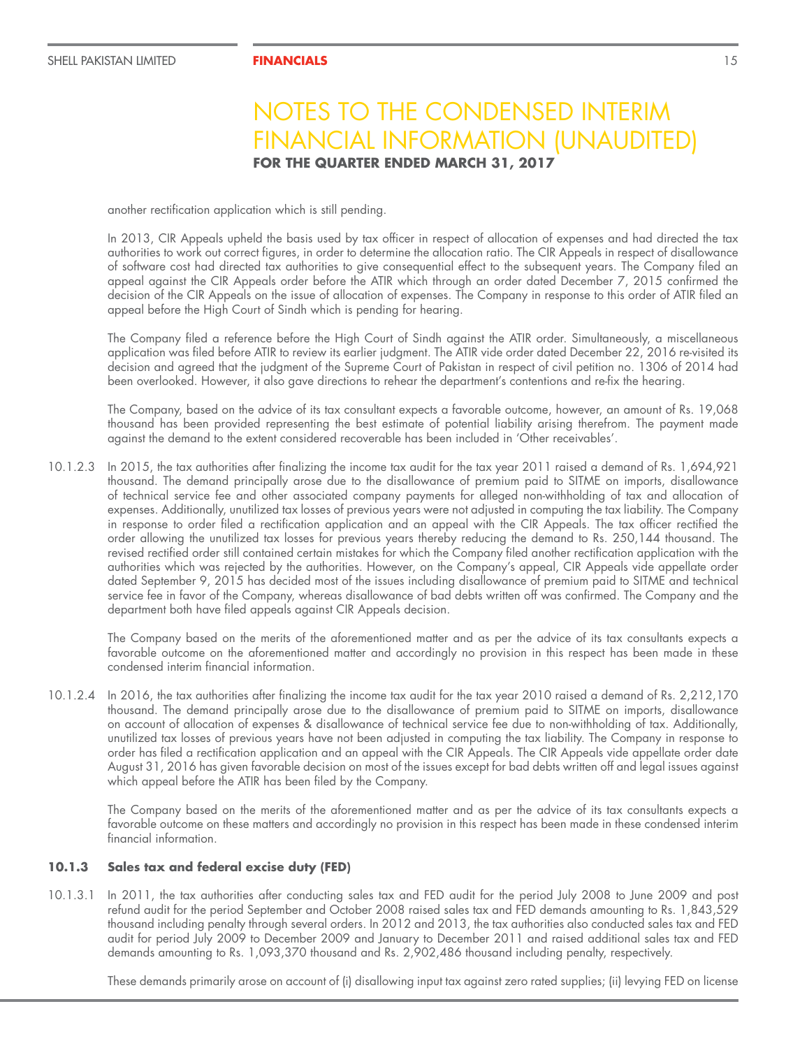another rectification application which is still pending.

In 2013, CIR Appeals upheld the basis used by tax officer in respect of allocation of expenses and had directed the tax authorities to work out correct figures, in order to determine the allocation ratio. The CIR Appeals in respect of disallowance of software cost had directed tax authorities to give consequential effect to the subsequent years. The Company filed an appeal against the CIR Appeals order before the ATIR which through an order dated December 7, 2015 confirmed the decision of the CIR Appeals on the issue of allocation of expenses. The Company in response to this order of ATIR filed an appeal before the High Court of Sindh which is pending for hearing.

The Company filed a reference before the High Court of Sindh against the ATIR order. Simultaneously, a miscellaneous application was filed before ATIR to review its earlier judgment. The ATIR vide order dated December 22, 2016 re-visited its decision and agreed that the judgment of the Supreme Court of Pakistan in respect of civil petition no. 1306 of 2014 had been overlooked. However, it also gave directions to rehear the department's contentions and re-fix the hearing.

The Company, based on the advice of its tax consultant expects a favorable outcome, however, an amount of Rs. 19,068 thousand has been provided representing the best estimate of potential liability arising therefrom. The payment made against the demand to the extent considered recoverable has been included in 'Other receivables'.

10.1.2.3 In 2015, the tax authorities after finalizing the income tax audit for the tax year 2011 raised a demand of Rs. 1,694,921 thousand. The demand principally arose due to the disallowance of premium paid to SITME on imports, disallowance of technical service fee and other associated company payments for alleged non-withholding of tax and allocation of expenses. Additionally, unutilized tax losses of previous years were not adjusted in computing the tax liability. The Company in response to order filed a rectification application and an appeal with the CIR Appeals. The tax officer rectified the order allowing the unutilized tax losses for previous years thereby reducing the demand to Rs. 250,144 thousand. The revised rectified order still contained certain mistakes for which the Company filed another rectification application with the authorities which was rejected by the authorities. However, on the Company's appeal, CIR Appeals vide appellate order dated September 9, 2015 has decided most of the issues including disallowance of premium paid to SITME and technical service fee in favor of the Company, whereas disallowance of bad debts written off was confirmed. The Company and the department both have filed appeals against CIR Appeals decision.

The Company based on the merits of the aforementioned matter and as per the advice of its tax consultants expects a favorable outcome on the aforementioned matter and accordingly no provision in this respect has been made in these condensed interim financial information.

10.1.2.4 In 2016, the tax authorities after finalizing the income tax audit for the tax year 2010 raised a demand of Rs. 2,212,170 thousand. The demand principally arose due to the disallowance of premium paid to SITME on imports, disallowance on account of allocation of expenses & disallowance of technical service fee due to non-withholding of tax. Additionally, unutilized tax losses of previous years have not been adjusted in computing the tax liability. The Company in response to order has filed a rectification application and an appeal with the CIR Appeals. The CIR Appeals vide appellate order date August 31, 2016 has given favorable decision on most of the issues except for bad debts written off and legal issues against which appeal before the ATIR has been filed by the Company.

The Company based on the merits of the aforementioned matter and as per the advice of its tax consultants expects a favorable outcome on these matters and accordingly no provision in this respect has been made in these condensed interim financial information.

### **10.1.3 Sales tax and federal excise duty (FED)**

10.1.3.1 In 2011, the tax authorities after conducting sales tax and FED audit for the period July 2008 to June 2009 and post refund audit for the period September and October 2008 raised sales tax and FED demands amounting to Rs. 1,843,529 thousand including penalty through several orders. In 2012 and 2013, the tax authorities also conducted sales tax and FED audit for period July 2009 to December 2009 and January to December 2011 and raised additional sales tax and FED demands amounting to Rs. 1,093,370 thousand and Rs. 2,902,486 thousand including penalty, respectively.

These demands primarily arose on account of (i) disallowing input tax against zero rated supplies; (ii) levying FED on license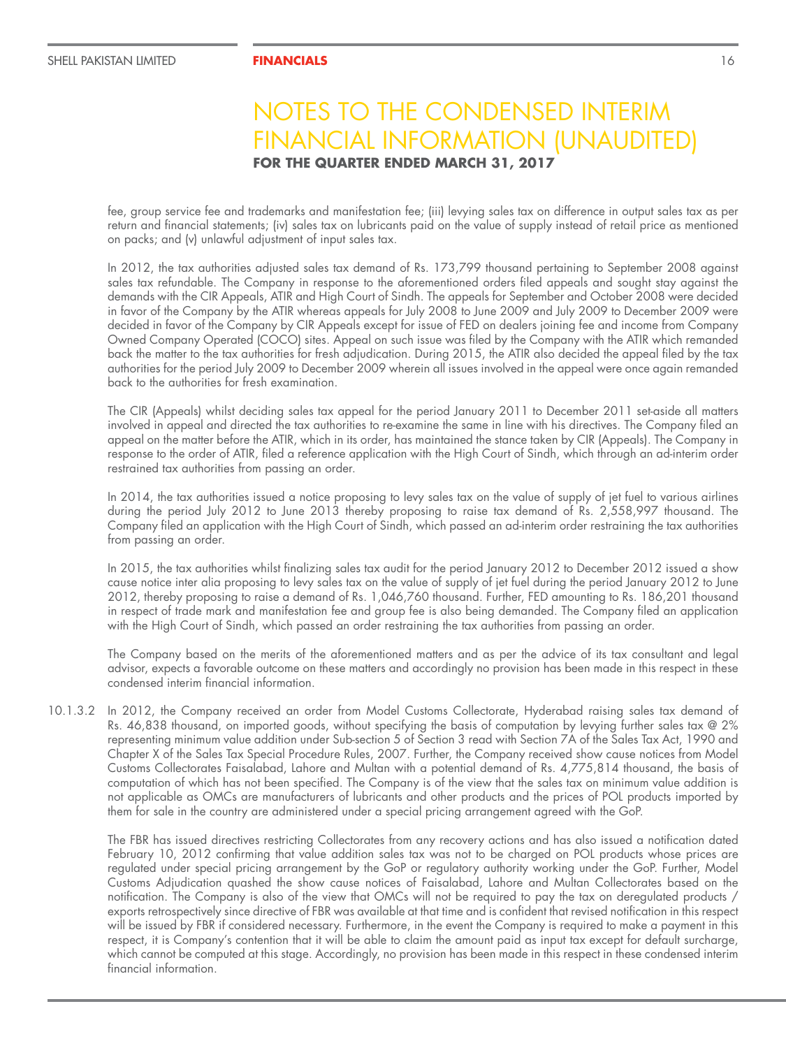fee, group service fee and trademarks and manifestation fee; (iii) levying sales tax on difference in output sales tax as per return and financial statements; (iv) sales tax on lubricants paid on the value of supply instead of retail price as mentioned on packs; and (v) unlawful adjustment of input sales tax.

In 2012, the tax authorities adjusted sales tax demand of Rs. 173,799 thousand pertaining to September 2008 against sales tax refundable. The Company in response to the aforementioned orders filed appeals and sought stay against the demands with the CIR Appeals, ATIR and High Court of Sindh. The appeals for September and October 2008 were decided in favor of the Company by the ATIR whereas appeals for July 2008 to June 2009 and July 2009 to December 2009 were decided in favor of the Company by CIR Appeals except for issue of FED on dealers joining fee and income from Company Owned Company Operated (COCO) sites. Appeal on such issue was filed by the Company with the ATIR which remanded back the matter to the tax authorities for fresh adjudication. During 2015, the ATIR also decided the appeal filed by the tax authorities for the period July 2009 to December 2009 wherein all issues involved in the appeal were once again remanded back to the authorities for fresh examination.

The CIR (Appeals) whilst deciding sales tax appeal for the period January 2011 to December 2011 set-aside all matters involved in appeal and directed the tax authorities to re-examine the same in line with his directives. The Company filed an appeal on the matter before the ATIR, which in its order, has maintained the stance taken by CIR (Appeals). The Company in response to the order of ATIR, filed a reference application with the High Court of Sindh, which through an ad-interim order restrained tax authorities from passing an order.

In 2014, the tax authorities issued a notice proposing to levy sales tax on the value of supply of jet fuel to various airlines during the period July 2012 to June 2013 thereby proposing to raise tax demand of Rs. 2,558,997 thousand. The Company filed an application with the High Court of Sindh, which passed an ad-interim order restraining the tax authorities from passing an order.

In 2015, the tax authorities whilst finalizing sales tax audit for the period January 2012 to December 2012 issued a show cause notice inter alia proposing to levy sales tax on the value of supply of jet fuel during the period January 2012 to June 2012, thereby proposing to raise a demand of Rs. 1,046,760 thousand. Further, FED amounting to Rs. 186,201 thousand in respect of trade mark and manifestation fee and group fee is also being demanded. The Company filed an application with the High Court of Sindh, which passed an order restraining the tax authorities from passing an order.

The Company based on the merits of the aforementioned matters and as per the advice of its tax consultant and legal advisor, expects a favorable outcome on these matters and accordingly no provision has been made in this respect in these condensed interim financial information.

10.1.3.2 In 2012, the Company received an order from Model Customs Collectorate, Hyderabad raising sales tax demand of Rs. 46,838 thousand, on imported goods, without specifying the basis of computation by levying further sales tax @ 2% representing minimum value addition under Sub-section 5 of Section 3 read with Section 7A of the Sales Tax Act, 1990 and Chapter X of the Sales Tax Special Procedure Rules, 2007. Further, the Company received show cause notices from Model Customs Collectorates Faisalabad, Lahore and Multan with a potential demand of Rs. 4,775,814 thousand, the basis of computation of which has not been specified. The Company is of the view that the sales tax on minimum value addition is not applicable as OMCs are manufacturers of lubricants and other products and the prices of POL products imported by them for sale in the country are administered under a special pricing arrangement agreed with the GoP.

The FBR has issued directives restricting Collectorates from any recovery actions and has also issued a notification dated February 10, 2012 confirming that value addition sales tax was not to be charged on POL products whose prices are regulated under special pricing arrangement by the GoP or regulatory authority working under the GoP. Further, Model Customs Adjudication quashed the show cause notices of Faisalabad, Lahore and Multan Collectorates based on the notification. The Company is also of the view that OMCs will not be required to pay the tax on deregulated products / exports retrospectively since directive of FBR was available at that time and is confident that revised notification in this respect will be issued by FBR if considered necessary. Furthermore, in the event the Company is required to make a payment in this respect, it is Company's contention that it will be able to claim the amount paid as input tax except for default surcharge, which cannot be computed at this stage. Accordingly, no provision has been made in this respect in these condensed interim financial information.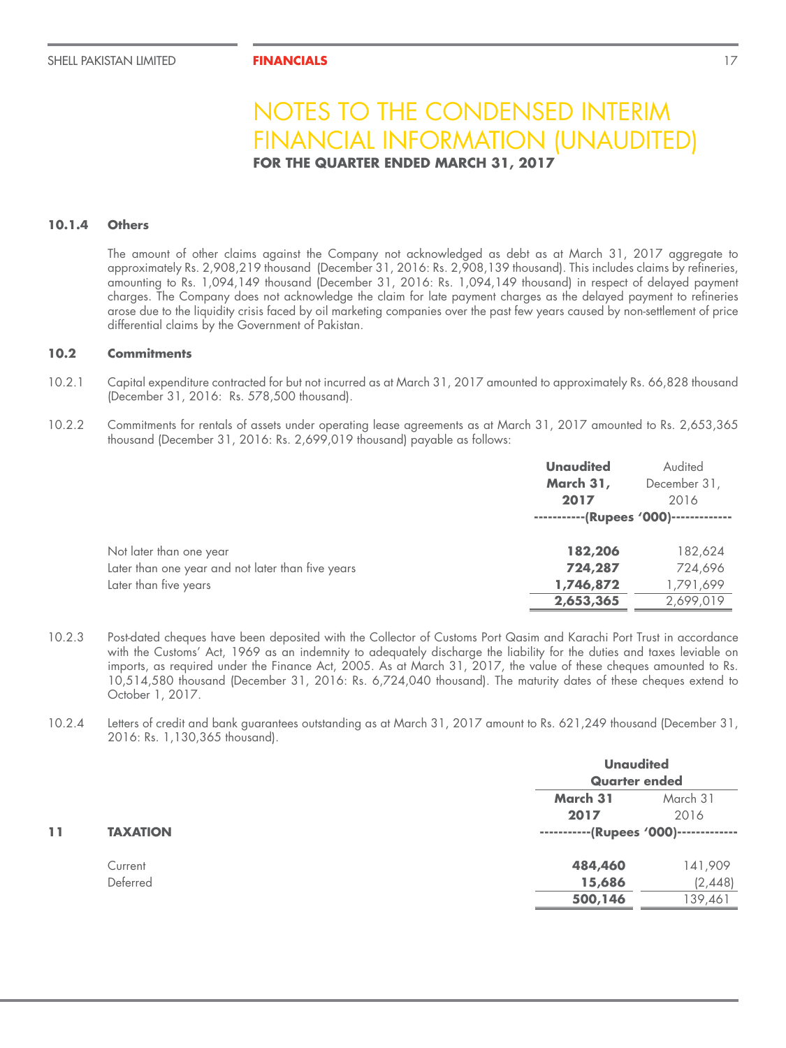### **10.1.4 Others**

The amount of other claims against the Company not acknowledged as debt as at March 31, 2017 aggregate to approximately Rs. 2,908,219 thousand (December 31, 2016: Rs. 2,908,139 thousand). This includes claims by refineries, amounting to Rs. 1,094,149 thousand (December 31, 2016: Rs. 1,094,149 thousand) in respect of delayed payment charges. The Company does not acknowledge the claim for late payment charges as the delayed payment to refineries arose due to the liquidity crisis faced by oil marketing companies over the past few years caused by non-settlement of price differential claims by the Government of Pakistan.

### **10.2 Commitments**

- 10.2.1 Capital expenditure contracted for but not incurred as at March 31, 2017 amounted to approximately Rs. 66,828 thousand (December 31, 2016: Rs. 578,500 thousand).
- 10.2.2 Commitments for rentals of assets under operating lease agreements as at March 31, 2017 amounted to Rs. 2,653,365 thousand (December 31, 2016: Rs. 2,699,019 thousand) payable as follows:

|                                                   | <b>Unaudited</b><br>March 31,<br>2017 | Audited<br>December 31,<br>2016 |
|---------------------------------------------------|---------------------------------------|---------------------------------|
|                                                   | -----------(Rupees '000)------------- |                                 |
| Not later than one year                           | 182,206                               | 182,624                         |
| Later than one year and not later than five years | 724,287                               | 724,696                         |
| Later than five years                             | 1,746,872                             | 1,791,699                       |
|                                                   | 2,653,365                             | 2,699,019                       |

10.2.3 Post-dated cheques have been deposited with the Collector of Customs Port Qasim and Karachi Port Trust in accordance with the Customs' Act, 1969 as an indemnity to adequately discharge the liability for the duties and taxes leviable on imports, as required under the Finance Act, 2005. As at March 31, 2017, the value of these cheques amounted to Rs. 10,514,580 thousand (December 31, 2016: Rs. 6,724,040 thousand). The maturity dates of these cheques extend to October 1, 2017.

<sup>10.2.4</sup> Letters of credit and bank guarantees outstanding as at March 31, 2017 amount to Rs. 621,249 thousand (December 31, 2016: Rs. 1,130,365 thousand).

|    |                 |                                       | <b>Unaudited</b><br><b>Quarter ended</b> |  |
|----|-----------------|---------------------------------------|------------------------------------------|--|
|    |                 |                                       |                                          |  |
|    |                 | March 31                              | March 31                                 |  |
|    |                 | 2017                                  | 2016                                     |  |
| 11 | <b>TAXATION</b> | -----------(Rupees '000)------------- |                                          |  |
|    | Current         | 484,460                               | 141,909                                  |  |
|    | Deferred        | 15,686                                | (2,448)                                  |  |
|    |                 | 500,146                               | 139,461                                  |  |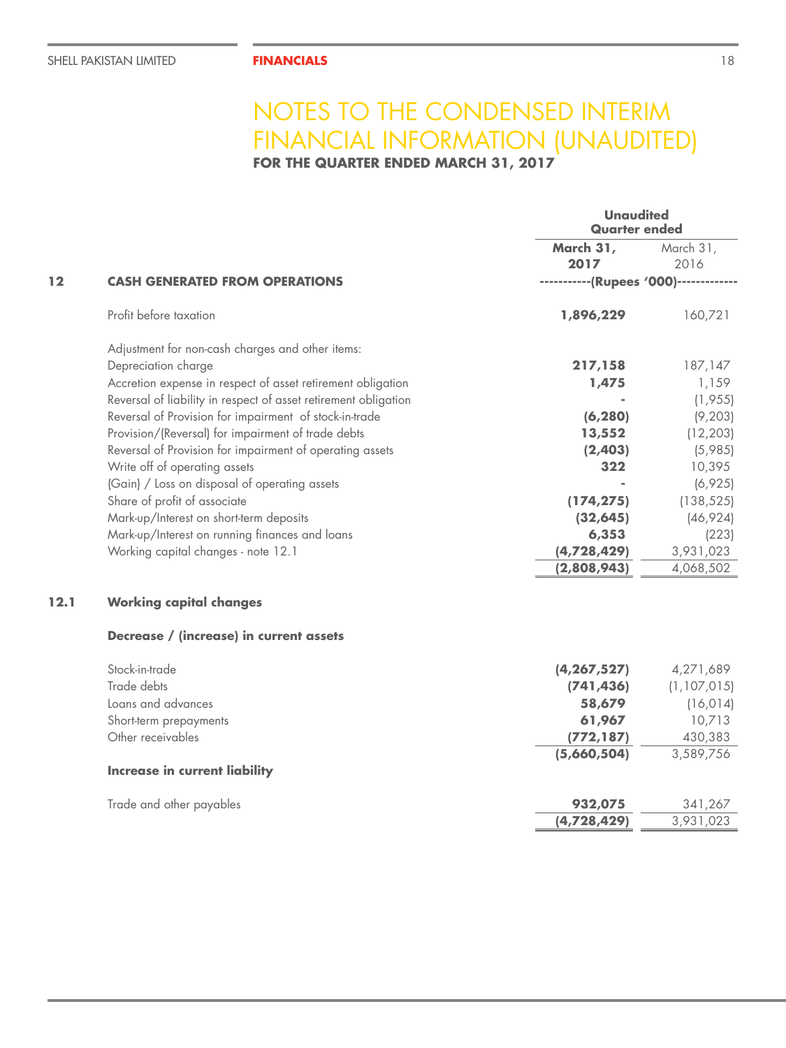**FOR THE QUARTER ENDED MARCH 31, 2017**

|      |                                                                 | <b>Unaudited</b><br>Quarter ended     |               |
|------|-----------------------------------------------------------------|---------------------------------------|---------------|
|      |                                                                 | March 31,                             | March 31,     |
|      |                                                                 | 2017                                  | 2016          |
| 12   | <b>CASH GENERATED FROM OPERATIONS</b>                           | -----------(Rupees '000)------------- |               |
|      | Profit before taxation                                          | 1,896,229                             | 160,721       |
|      | Adjustment for non-cash charges and other items:                |                                       |               |
|      | Depreciation charge                                             | 217,158                               | 187,147       |
|      | Accretion expense in respect of asset retirement obligation     | 1,475                                 | 1,159         |
|      | Reversal of liability in respect of asset retirement obligation |                                       | (1, 955)      |
|      | Reversal of Provision for impairment of stock-in-trade          | (6, 280)                              | (9, 203)      |
|      | Provision/(Reversal) for impairment of trade debts              | 13,552                                | (12, 203)     |
|      | Reversal of Provision for impairment of operating assets        | (2,403)                               | (5,985)       |
|      | Write off of operating assets                                   | 322                                   | 10,395        |
|      | (Gain) / Loss on disposal of operating assets                   |                                       | (6,925)       |
|      | Share of profit of associate                                    | (174, 275)                            | (138, 525)    |
|      | Mark-up/Interest on short-term deposits                         | (32, 645)                             | (46, 924)     |
|      | Mark-up/Interest on running finances and loans                  | 6,353                                 | (223)         |
|      | Working capital changes - note 12.1                             | (4,728,429)                           | 3,931,023     |
|      |                                                                 | (2,808,943)                           | 4,068,502     |
| 12.1 | <b>Working capital changes</b>                                  |                                       |               |
|      | Decrease / (increase) in current assets                         |                                       |               |
|      | Stock-in-trade                                                  | (4, 267, 527)                         | 4,271,689     |
|      | Trade debts                                                     | (741, 436)                            | (1, 107, 015) |
|      | Loans and advances                                              | 58,679                                | (16, 014)     |
|      | Short-term prepayments                                          | 61,967                                | 10,713        |
|      | Other receivables                                               | (772, 187)                            | 430,383       |
|      |                                                                 | (5,660,504)                           | 3,589,756     |
|      | <b>Increase in current liability</b>                            |                                       |               |
|      | Trade and other payables                                        | 932,075                               | 341,267       |
|      |                                                                 | (4,728,429)                           | 3,931,023     |
|      |                                                                 |                                       |               |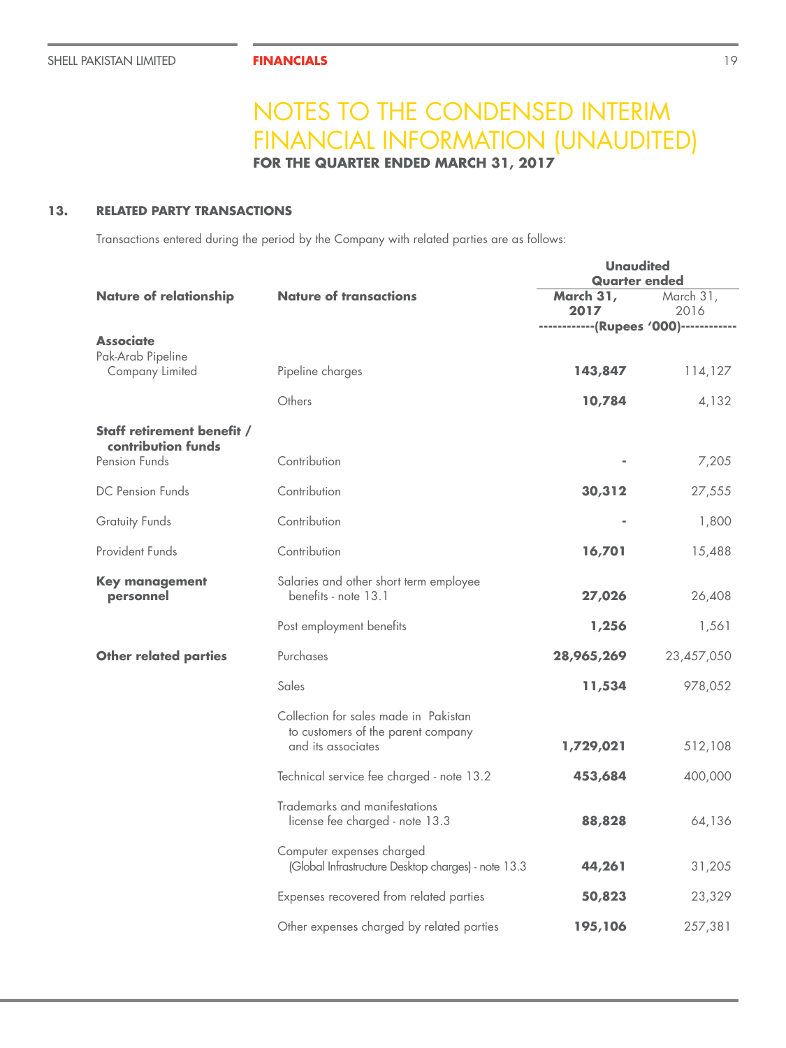**FOR THE QUARTER ENDED MARCH 31, 2017**

## **13. RELATED PARTY TRANSACTIONS**

Transactions entered during the period by the Company with related parties are as follows:

|                                                  |                                                                                                   | <b>Unaudited</b><br><b>Quarter ended</b>                   |                   |
|--------------------------------------------------|---------------------------------------------------------------------------------------------------|------------------------------------------------------------|-------------------|
| <b>Nature of relationship</b>                    | <b>Nature of transactions</b>                                                                     | March 31,<br>2017<br>------------(Rupees '000)------------ | March 31,<br>2016 |
| <b>Associate</b>                                 |                                                                                                   |                                                            |                   |
| Pak-Arab Pipeline<br>Company Limited             | Pipeline charges                                                                                  | 143,847                                                    | 114,127           |
|                                                  | Others                                                                                            | 10,784                                                     | 4,132             |
| Staff retirement benefit /<br>contribution funds |                                                                                                   |                                                            |                   |
| Pension Funds                                    | Contribution                                                                                      |                                                            | 7,205             |
| DC Pension Funds                                 | Contribution                                                                                      | 30,312                                                     | 27,555            |
| <b>Gratuity Funds</b>                            | Contribution                                                                                      |                                                            | 1,800             |
| Provident Funds                                  | Contribution                                                                                      | 16,701                                                     | 15,488            |
| <b>Key management</b><br>personnel               | Salaries and other short term employee<br>benefits - note 13.1                                    | 27,026                                                     | 26,408            |
|                                                  | Post employment benefits                                                                          | 1,256                                                      | 1,561             |
| <b>Other related parties</b>                     | Purchases                                                                                         | 28,965,269                                                 | 23,457,050        |
|                                                  | Sales                                                                                             | 11,534                                                     | 978,052           |
|                                                  | Collection for sales made in Pakistan<br>to customers of the parent company<br>and its associates | 1,729,021                                                  | 512,108           |
|                                                  | Technical service fee charged - note 13.2                                                         | 453,684                                                    | 400,000           |
|                                                  | Trademarks and manifestations<br>license fee charged - note 13.3                                  | 88,828                                                     | 64,136            |
|                                                  | Computer expenses charged<br>(Global Infrastructure Desktop charges) - note 13.3                  | 44,261                                                     | 31,205            |
|                                                  | Expenses recovered from related parties                                                           | 50,823                                                     | 23,329            |
|                                                  | Other expenses charged by related parties                                                         | 195,106                                                    | 257,381           |